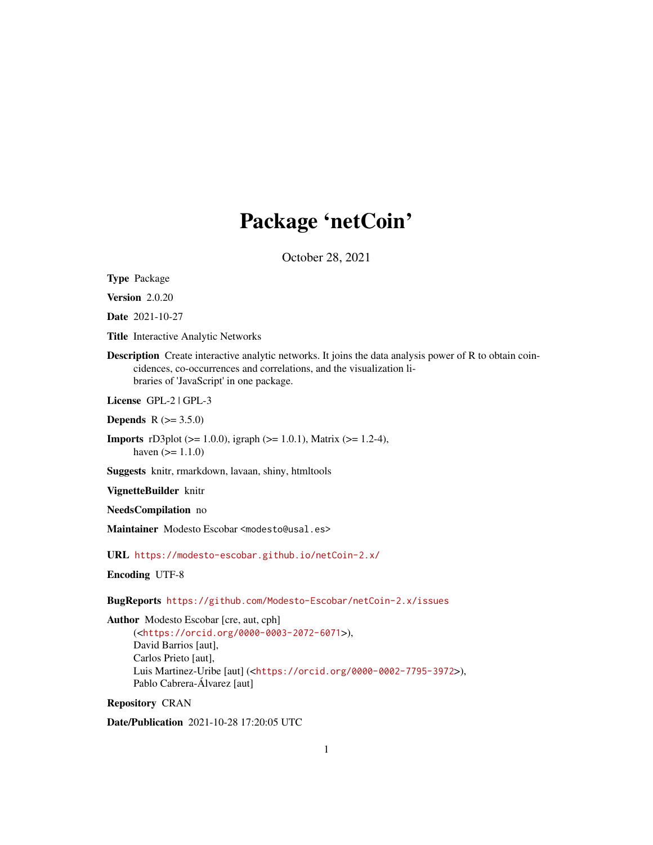# Package 'netCoin'

October 28, 2021

<span id="page-0-0"></span>Type Package

Version 2.0.20

Date 2021-10-27

Title Interactive Analytic Networks

Description Create interactive analytic networks. It joins the data analysis power of R to obtain coincidences, co-occurrences and correlations, and the visualization libraries of 'JavaScript' in one package.

License GPL-2 | GPL-3

**Depends**  $R (= 3.5.0)$ 

Imports rD3plot (>= 1.0.0), igraph (>= 1.0.1), Matrix (>= 1.2-4), haven  $(>= 1.1.0)$ 

Suggests knitr, rmarkdown, lavaan, shiny, htmltools

VignetteBuilder knitr

NeedsCompilation no

Maintainer Modesto Escobar <modesto@usal.es>

URL <https://modesto-escobar.github.io/netCoin-2.x/>

Encoding UTF-8

BugReports <https://github.com/Modesto-Escobar/netCoin-2.x/issues>

Author Modesto Escobar [cre, aut, cph] (<<https://orcid.org/0000-0003-2072-6071>>), David Barrios [aut], Carlos Prieto [aut], Luis Martinez-Uribe [aut] (<<https://orcid.org/0000-0002-7795-3972>>), Pablo Cabrera-Álvarez [aut]

Repository CRAN

Date/Publication 2021-10-28 17:20:05 UTC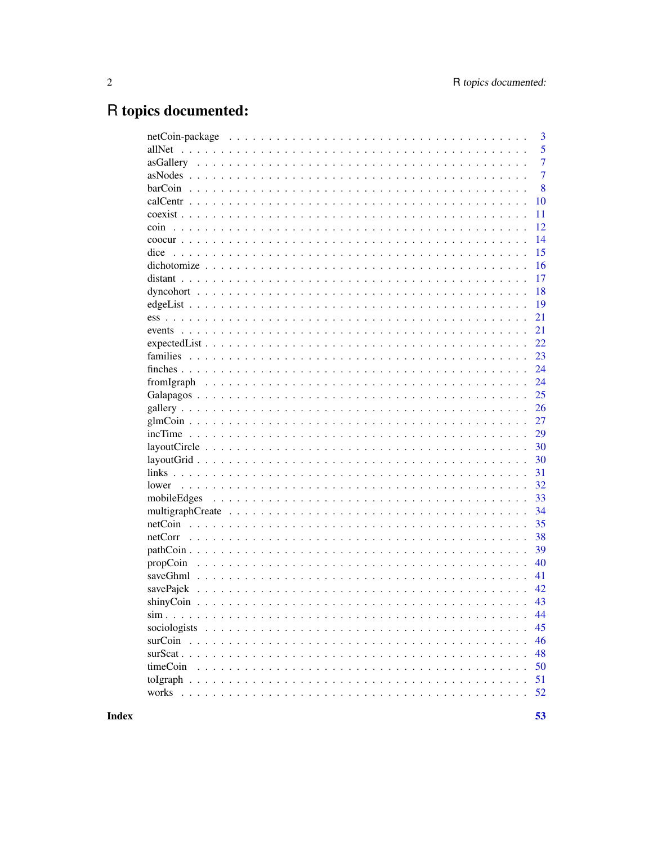# R topics documented:

|             | 3              |
|-------------|----------------|
| allNet      | 5              |
|             | $\overline{7}$ |
|             | $\overline{7}$ |
|             | 8              |
|             | 10             |
|             | 11             |
| coin        | 12             |
|             | 14             |
| dice        | 15             |
|             | 16             |
|             | 17             |
|             | 18             |
|             | 19             |
|             | 21             |
|             | 21             |
|             | 22             |
|             | 23             |
|             | 24             |
|             | 24             |
|             | 25             |
|             | 26             |
|             | 27             |
|             | 29             |
|             | 30             |
|             | 30             |
|             | 31             |
|             | 32             |
| mobileEdges | 33             |
|             | 34             |
|             | 35             |
| netCorr     | 38             |
|             | 39             |
| propCoin    | 40             |
| saveGhml    | 41             |
| savePajek   | 42             |
|             | 43             |
|             | 44             |
|             | 45             |
|             | 46             |
|             | 48             |
| timeCoin    | 50             |
|             |                |
|             | 51             |
|             | 52             |

**Index**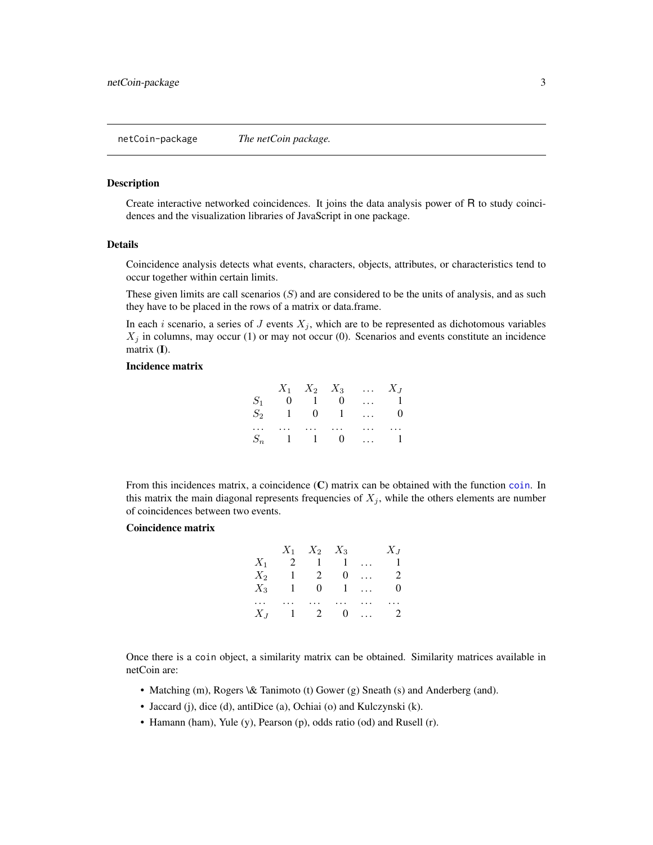<span id="page-2-0"></span>Create interactive networked coincidences. It joins the data analysis power of R to study coincidences and the visualization libraries of JavaScript in one package.

#### Details

Coincidence analysis detects what events, characters, objects, attributes, or characteristics tend to occur together within certain limits.

These given limits are call scenarios  $(S)$  and are considered to be the units of analysis, and as such they have to be placed in the rows of a matrix or data.frame.

In each *i* scenario, a series of  $J$  events  $X_j$ , which are to be represented as dichotomous variables  $X_j$  in columns, may occur (1) or may not occur (0). Scenarios and events constitute an incidence matrix  $(I)$ .

#### Incidence matrix

|       |             |  | $X_1$ $X_2$ $X_3$ $X_J$ |            |
|-------|-------------|--|-------------------------|------------|
|       | $S_1$ 0 1 0 |  |                         | $\ldots$ 1 |
| $S_2$ | 1 0 1       |  | $\cdots$                | $\bf{0}$   |
|       |             |  | $\cdots$                | $\cdots$   |
|       | $S_n$ 1 1 0 |  |                         | $\ldots$ 1 |

From this incidences matrix, a coincidence (C) matrix can be obtained with the function [coin](#page-11-1). In this matrix the main diagonal represents frequencies of  $X_j$ , while the others elements are number of coincidences between two events.

# Coincidence matrix

|            |              | $X_1$ $X_2$ $X_3$ |                         |            | $X_J$          |
|------------|--------------|-------------------|-------------------------|------------|----------------|
| $X_1$      |              | 2 1 1             |                         | $\ddotsc$  | $\mathbf{1}$   |
|            | $X_2$ 1 2 0  |                   |                         | $\dddotsc$ | 2              |
| $X_3$      | $\mathbf{1}$ |                   | $0 \quad 1 \quad \dots$ |            | 0              |
| $\dddotsc$ |              |                   |                         |            | $\cdots$       |
|            | $X_J$ 1 2 0  |                   |                         |            | $\overline{2}$ |

Once there is a coin object, a similarity matrix can be obtained. Similarity matrices available in netCoin are:

- Matching (m), Rogers \& Tanimoto (t) Gower (g) Sneath (s) and Anderberg (and).
- Jaccard (j), dice (d), antiDice (a), Ochiai (o) and Kulczynski (k).
- Hamann (ham), Yule (y), Pearson (p), odds ratio (od) and Rusell (r).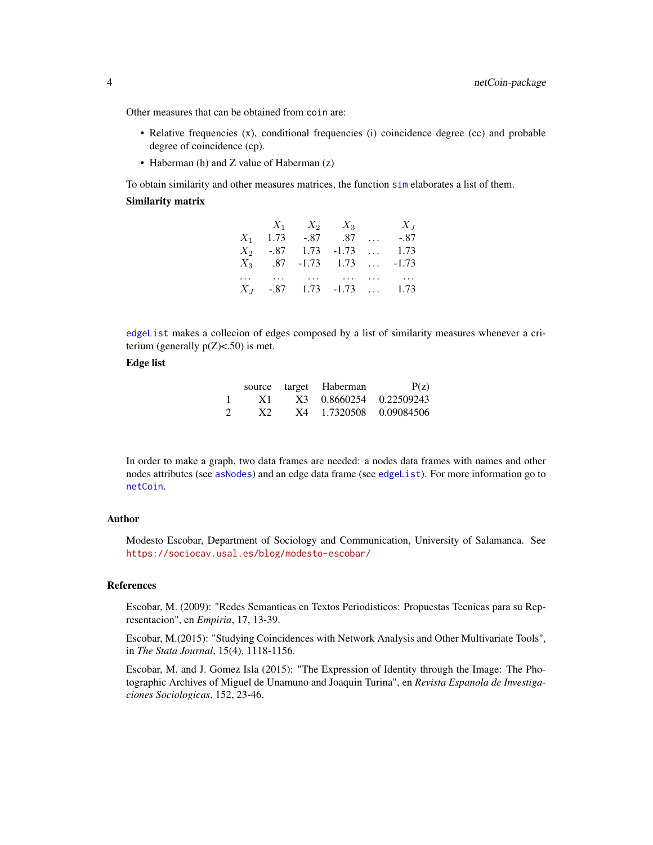Other measures that can be obtained from coin are:

- Relative frequencies (x), conditional frequencies (i) coincidence degree (cc) and probable degree of coincidence (cp).
- Haberman (h) and Z value of Haberman (z)

To obtain similarity and other measures matrices, the function [sim](#page-43-1) elaborates a list of them. Similarity matrix

|  | $X_1$ $X_2$ $X_3$                         |          | $X_{J}$ |
|--|-------------------------------------------|----------|---------|
|  | $X_1$ 1.73 -.87 .87                       | $\ldots$ | -.87    |
|  | $X_2$ -.87 1.73 -1.73                     |          | 1.73    |
|  | $X_3$ .87 -1.73 1.73  -1.73               |          |         |
|  | and the same of the same same same of the |          |         |
|  | $X_J$ -.87 1.73 -1.73  1.73               |          |         |

[edgeList](#page-18-1) makes a collecion of edges composed by a list of similarity measures whenever a criterium (generally  $p(Z)$ <.50) is met.

# Edge list

|                | source | target | Haberman     | P(z)       |
|----------------|--------|--------|--------------|------------|
| -1             | X1     |        | X3 0.8660254 | 0.22509243 |
| $\overline{2}$ | X2     | X4     | 1.7320508    | 0.09084506 |

In order to make a graph, two data frames are needed: a nodes data frames with names and other nodes attributes (see [asNodes](#page-6-1)) and an edge data frame (see [edgeList](#page-18-1)). For more information go to [netCoin](#page-34-1).

# Author

Modesto Escobar, Department of Sociology and Communication, University of Salamanca. See <https://sociocav.usal.es/blog/modesto-escobar/>

#### References

Escobar, M. (2009): "Redes Semanticas en Textos Periodisticos: Propuestas Tecnicas para su Representacion", en *Empiria*, 17, 13-39.

Escobar, M.(2015): "Studying Coincidences with Network Analysis and Other Multivariate Tools", in *The Stata Journal*, 15(4), 1118-1156.

Escobar, M. and J. Gomez Isla (2015): "The Expression of Identity through the Image: The Photographic Archives of Miguel de Unamuno and Joaquin Turina", en *Revista Espanola de Investigaciones Sociologicas*, 152, 23-46.

<span id="page-3-0"></span>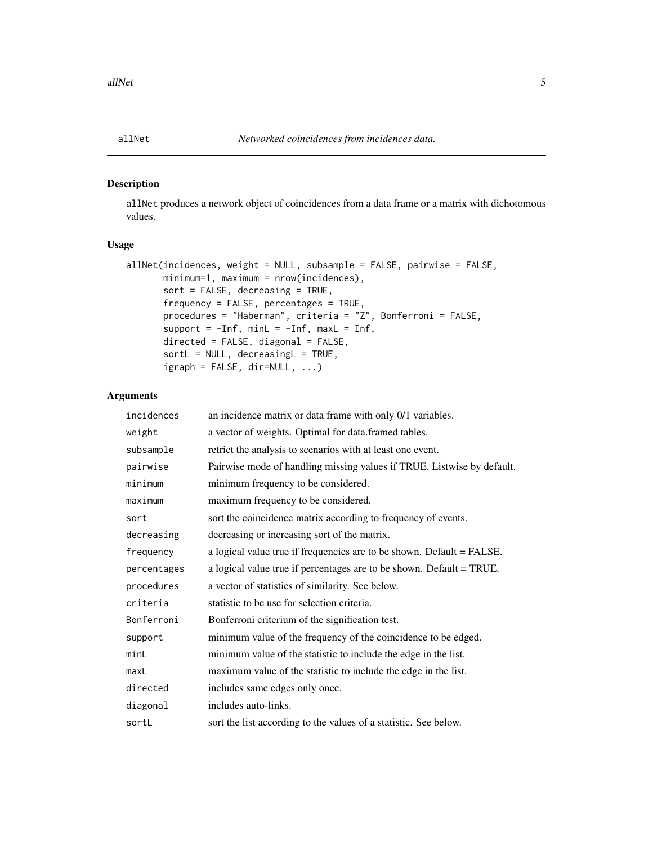<span id="page-4-0"></span>allNet produces a network object of coincidences from a data frame or a matrix with dichotomous values.

#### Usage

```
allNet(incidences, weight = NULL, subsample = FALSE, pairwise = FALSE,
      minimum=1, maximum = nrow(incidences),
       sort = FALSE, decreasing = TRUE,
       frequency = FALSE, percentages = TRUE,
       procedures = "Haberman", criteria = "Z", Bonferroni = FALSE,
       support = -Inf, minL = -Inf, maxL = Inf,
       directed = FALSE, diagonal = FALSE,
       sortL = NULL, decreasingL = TRUE,
       igraph = FALSE, dir=NULL, ...)
```
# Arguments

| incidences  | an incidence matrix or data frame with only 0/1 variables.             |
|-------------|------------------------------------------------------------------------|
| weight      | a vector of weights. Optimal for data.framed tables.                   |
| subsample   | retrict the analysis to scenarios with at least one event.             |
| pairwise    | Pairwise mode of handling missing values if TRUE. Listwise by default. |
| minimum     | minimum frequency to be considered.                                    |
| maximum     | maximum frequency to be considered.                                    |
| sort        | sort the coincidence matrix according to frequency of events.          |
| decreasing  | decreasing or increasing sort of the matrix.                           |
| frequency   | a logical value true if frequencies are to be shown. Default = FALSE.  |
| percentages | a logical value true if percentages are to be shown. Default = TRUE.   |
| procedures  | a vector of statistics of similarity. See below.                       |
| criteria    | statistic to be use for selection criteria.                            |
| Bonferroni  | Bonferroni criterium of the signification test.                        |
| support     | minimum value of the frequency of the coincidence to be edged.         |
| minL        | minimum value of the statistic to include the edge in the list.        |
| maxL        | maximum value of the statistic to include the edge in the list.        |
| directed    | includes same edges only once.                                         |
| diagonal    | includes auto-links.                                                   |
| sortL       | sort the list according to the values of a statistic. See below.       |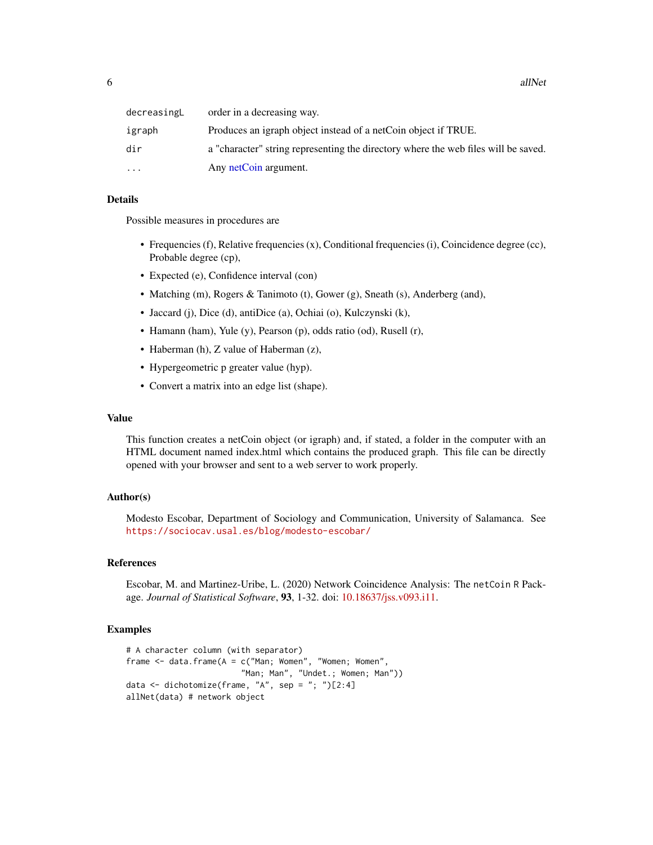<span id="page-5-0"></span>

| decreasingL | order in a decreasing way.                                                         |
|-------------|------------------------------------------------------------------------------------|
| igraph      | Produces an igraph object instead of a netCoin object if TRUE.                     |
| dir         | a "character" string representing the directory where the web files will be saved. |
| $\ddotsc$   | Any netCoin argument.                                                              |

# Details

Possible measures in procedures are

- Frequencies (f), Relative frequencies (x), Conditional frequencies (i), Coincidence degree (cc), Probable degree (cp),
- Expected (e), Confidence interval (con)
- Matching (m), Rogers & Tanimoto (t), Gower (g), Sneath (s), Anderberg (and),
- Jaccard (j), Dice (d), antiDice (a), Ochiai (o), Kulczynski (k),
- Hamann (ham), Yule (y), Pearson (p), odds ratio (od), Rusell (r),
- Haberman (h), Z value of Haberman (z),
- Hypergeometric p greater value (hyp).
- Convert a matrix into an edge list (shape).

# Value

This function creates a netCoin object (or igraph) and, if stated, a folder in the computer with an HTML document named index.html which contains the produced graph. This file can be directly opened with your browser and sent to a web server to work properly.

# Author(s)

Modesto Escobar, Department of Sociology and Communication, University of Salamanca. See <https://sociocav.usal.es/blog/modesto-escobar/>

# References

Escobar, M. and Martinez-Uribe, L. (2020) Network Coincidence Analysis: The netCoin R Package. *Journal of Statistical Software*, 93, 1-32. doi: [10.18637/jss.v093.i11.](https://doi.org/10.18637/jss.v093.i11)

```
# A character column (with separator)
frame \le data.frame(A = c("Man; Women", "Women; Women","Man; Man", "Undet.; Women; Man"))
data <- dichotomize(frame, "A", sep = "; ")[2:4]
allNet(data) # network object
```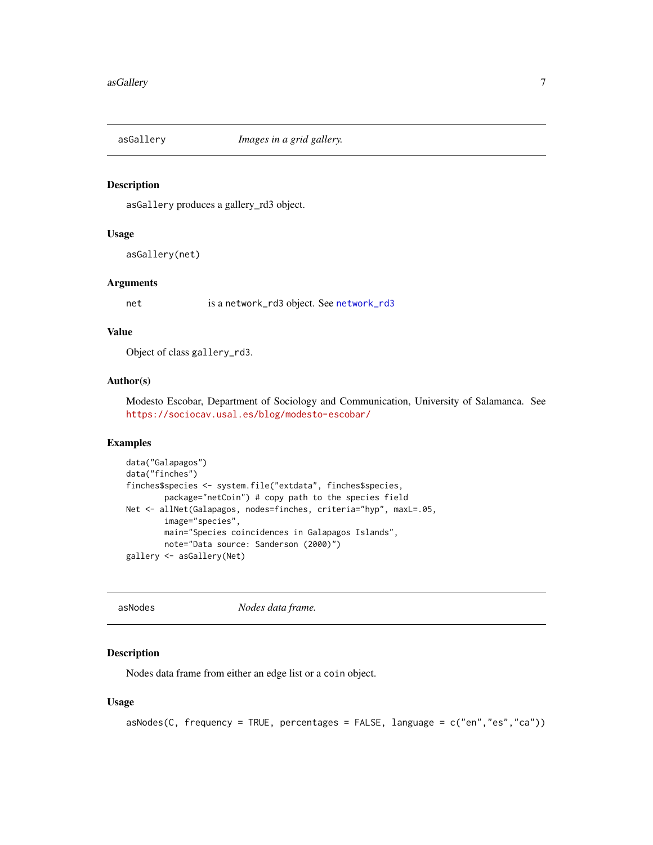<span id="page-6-0"></span>

asGallery produces a gallery\_rd3 object.

# Usage

asGallery(net)

#### Arguments

net is a [network\\_rd3](#page-0-0) object. See network\_rd3

#### Value

Object of class gallery\_rd3.

# Author(s)

Modesto Escobar, Department of Sociology and Communication, University of Salamanca. See <https://sociocav.usal.es/blog/modesto-escobar/>

#### Examples

```
data("Galapagos")
data("finches")
finches$species <- system.file("extdata", finches$species,
       package="netCoin") # copy path to the species field
Net <- allNet(Galapagos, nodes=finches, criteria="hyp", maxL=.05,
       image="species",
       main="Species coincidences in Galapagos Islands",
       note="Data source: Sanderson (2000)")
gallery <- asGallery(Net)
```
<span id="page-6-1"></span>asNodes *Nodes data frame.*

### Description

Nodes data frame from either an edge list or a coin object.

#### Usage

```
asNodes(C, frequency = TRUE, percentages = FALSE, language = c("en","es","ca"))
```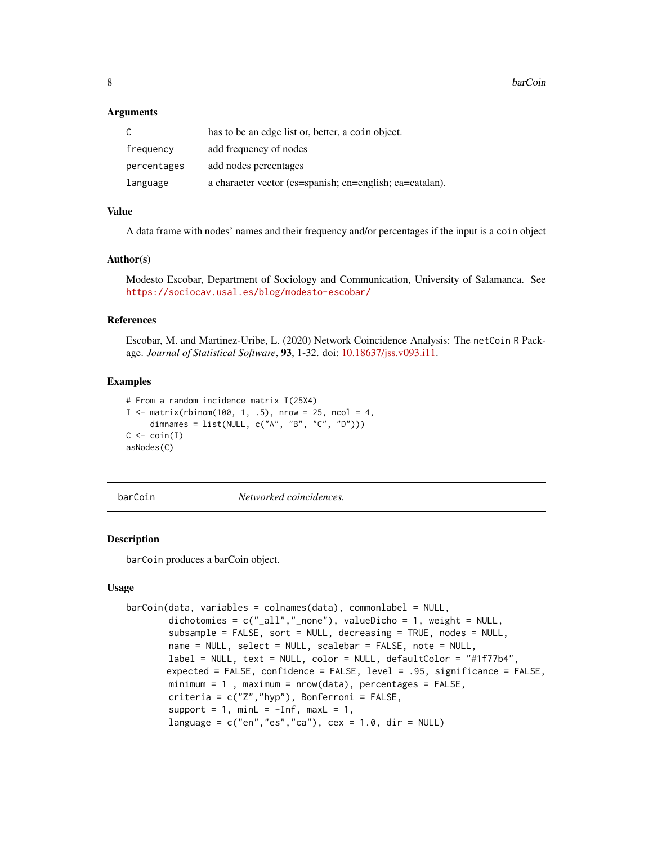# <span id="page-7-0"></span>**Arguments**

|             | has to be an edge list or, better, a coin object.        |
|-------------|----------------------------------------------------------|
| frequency   | add frequency of nodes                                   |
| percentages | add nodes percentages                                    |
| language    | a character vector (es=spanish; en=english; ca=catalan). |

# Value

A data frame with nodes' names and their frequency and/or percentages if the input is a coin object

#### Author(s)

Modesto Escobar, Department of Sociology and Communication, University of Salamanca. See <https://sociocav.usal.es/blog/modesto-escobar/>

#### References

Escobar, M. and Martinez-Uribe, L. (2020) Network Coincidence Analysis: The netCoin R Package. *Journal of Statistical Software*, 93, 1-32. doi: [10.18637/jss.v093.i11.](https://doi.org/10.18637/jss.v093.i11)

# Examples

```
# From a random incidence matrix I(25X4)
I \le matrix(rbinom(100, 1, .5), nrow = 25, ncol = 4,
     dimnames = list(NULL, c("A", "B", "C", "D")))
C \leftarrow \operatorname{coin}(I)asNodes(C)
```
barCoin *Networked coincidences.*

# Description

barCoin produces a barCoin object.

#### Usage

```
barCoin(data, variables = colnames(data), commonlabel = NULL,
       dichotomies = c("a11", "none"), valueDicho = 1, weight = NULL,subsample = FALSE, sort = NULL, decreasing = TRUE, nodes = NULL,
       name = NULL, select = NULL, scalebar = FALSE, note = NULL,
       label = NULL, text = NULL, color = NULL, defaultColor = "#1f77b4".expected = FALSE, confidence = FALSE, level = .95, significance = FALSE,
       minimum = 1, maximum = nrow(data), percentages = FALSE,
       criteria = c("Z","hyp"), Bonferroni = FALSE,
        support = 1, minL = -Inf, maxL = 1,
       language = c("en", "es", "ca"), cex = 1.0, dir = NULL)
```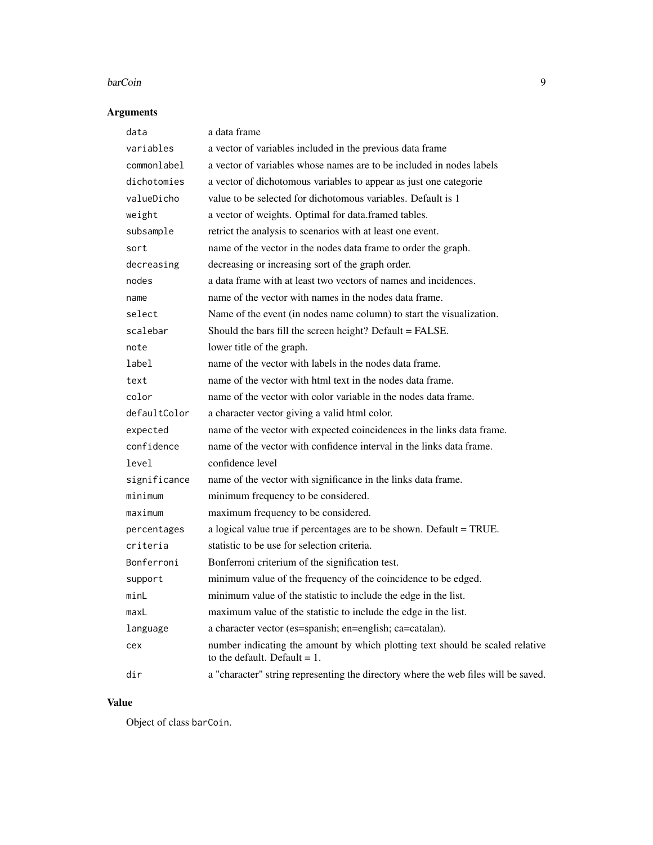#### barCoin **9**

# Arguments

| data         | a data frame                                                                                                     |
|--------------|------------------------------------------------------------------------------------------------------------------|
| variables    | a vector of variables included in the previous data frame                                                        |
| commonlabel  | a vector of variables whose names are to be included in nodes labels                                             |
| dichotomies  | a vector of dichotomous variables to appear as just one categorie                                                |
| valueDicho   | value to be selected for dichotomous variables. Default is 1                                                     |
| weight       | a vector of weights. Optimal for data.framed tables.                                                             |
| subsample    | retrict the analysis to scenarios with at least one event.                                                       |
| sort         | name of the vector in the nodes data frame to order the graph.                                                   |
| decreasing   | decreasing or increasing sort of the graph order.                                                                |
| nodes        | a data frame with at least two vectors of names and incidences.                                                  |
| name         | name of the vector with names in the nodes data frame.                                                           |
| select       | Name of the event (in nodes name column) to start the visualization.                                             |
| scalebar     | Should the bars fill the screen height? Default = FALSE.                                                         |
| note         | lower title of the graph.                                                                                        |
| label        | name of the vector with labels in the nodes data frame.                                                          |
| text         | name of the vector with html text in the nodes data frame.                                                       |
| color        | name of the vector with color variable in the nodes data frame.                                                  |
| defaultColor | a character vector giving a valid html color.                                                                    |
| expected     | name of the vector with expected coincidences in the links data frame.                                           |
| confidence   | name of the vector with confidence interval in the links data frame.                                             |
| level        | confidence level                                                                                                 |
| significance | name of the vector with significance in the links data frame.                                                    |
| minimum      | minimum frequency to be considered.                                                                              |
| maximum      | maximum frequency to be considered.                                                                              |
| percentages  | a logical value true if percentages are to be shown. Default = TRUE.                                             |
| criteria     | statistic to be use for selection criteria.                                                                      |
| Bonferroni   | Bonferroni criterium of the signification test.                                                                  |
| support      | minimum value of the frequency of the coincidence to be edged.                                                   |
| minL         | minimum value of the statistic to include the edge in the list.                                                  |
| maxL         | maximum value of the statistic to include the edge in the list.                                                  |
| language     | a character vector (es=spanish; en=english; ca=catalan).                                                         |
| cex          | number indicating the amount by which plotting text should be scaled relative<br>to the default. Default $= 1$ . |
| dir          | a "character" string representing the directory where the web files will be saved.                               |

# Value

Object of class barCoin.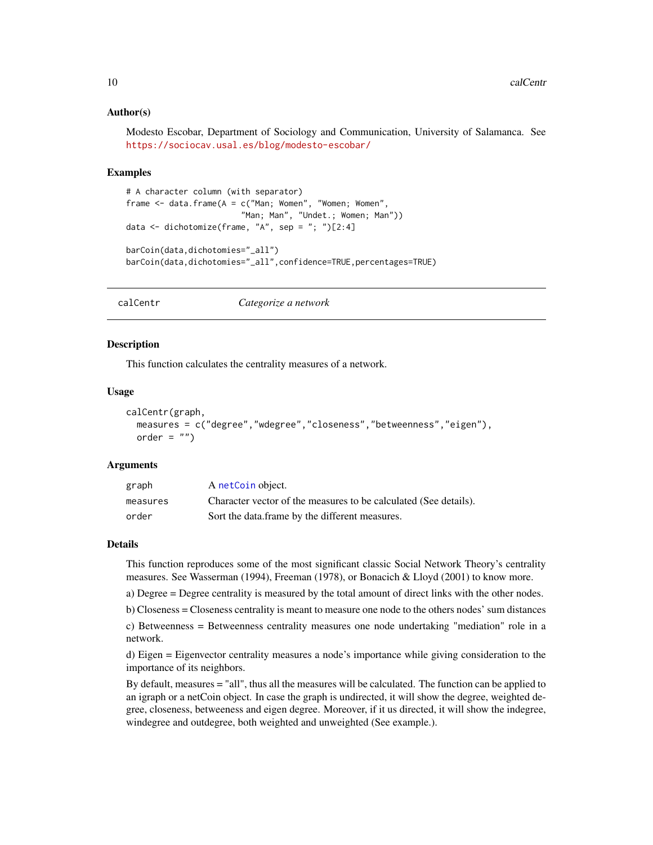### <span id="page-9-0"></span>Author(s)

Modesto Escobar, Department of Sociology and Communication, University of Salamanca. See <https://sociocav.usal.es/blog/modesto-escobar/>

#### Examples

```
# A character column (with separator)
frame \le data.frame(A = c("Man; Women", "Women; Women",
                        "Man; Man", "Undet.; Women; Man"))
data \leq dichotomize(frame, "A", sep = "; ")[2:4]
barCoin(data,dichotomies="_all")
barCoin(data,dichotomies="_all",confidence=TRUE,percentages=TRUE)
```
<span id="page-9-1"></span>calCentr *Categorize a network*

# Description

This function calculates the centrality measures of a network.

# Usage

```
calCentr(graph,
 measures = c("degree","wdegree","closeness","betweenness","eigen"),
 order = "")
```
#### Arguments

| graph    | A netCoin object.                                                |
|----------|------------------------------------------------------------------|
| measures | Character vector of the measures to be calculated (See details). |
| order    | Sort the data frame by the different measures.                   |

#### Details

This function reproduces some of the most significant classic Social Network Theory's centrality measures. See Wasserman (1994), Freeman (1978), or Bonacich & Lloyd (2001) to know more.

a) Degree = Degree centrality is measured by the total amount of direct links with the other nodes.

b) Closeness = Closeness centrality is meant to measure one node to the others nodes' sum distances

c) Betweenness = Betweenness centrality measures one node undertaking "mediation" role in a network.

d) Eigen = Eigenvector centrality measures a node's importance while giving consideration to the importance of its neighbors.

By default, measures = "all", thus all the measures will be calculated. The function can be applied to an igraph or a netCoin object. In case the graph is undirected, it will show the degree, weighted degree, closeness, betweeness and eigen degree. Moreover, if it us directed, it will show the indegree, windegree and outdegree, both weighted and unweighted (See example.).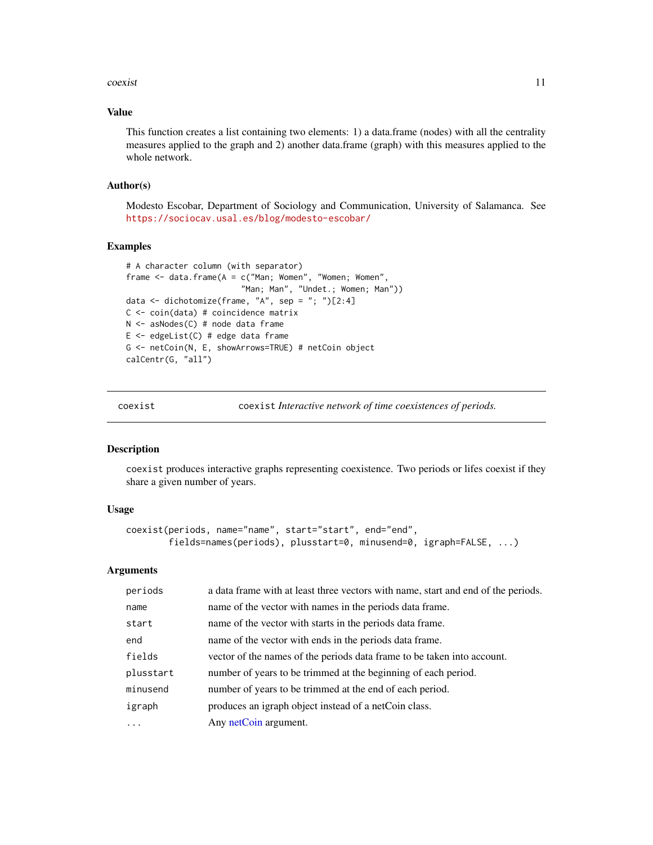#### <span id="page-10-0"></span>coexist the coexist of the coexist of the coexist of the coexist of the coexist of the coexist of the coexist of the coexist of the coexist of the coexist of the coexist of the coexist of the coexist of the coexist of the

# Value

This function creates a list containing two elements: 1) a data.frame (nodes) with all the centrality measures applied to the graph and 2) another data.frame (graph) with this measures applied to the whole network.

#### Author(s)

Modesto Escobar, Department of Sociology and Communication, University of Salamanca. See <https://sociocav.usal.es/blog/modesto-escobar/>

# Examples

```
# A character column (with separator)
frame \le- data.frame(A = c("Man; Women", "Women; Women",
                        "Man; Man", "Undet.; Women; Man"))
data \leq dichotomize(frame, "A", sep = "; ")[2:4]
C <- coin(data) # coincidence matrix
N <- asNodes(C) # node data frame
E \leq - edgeList(C) # edge data frame
G <- netCoin(N, E, showArrows=TRUE) # netCoin object
calCentr(G, "all")
```
<span id="page-10-1"></span>

coexist coexist *Interactive network of time coexistences of periods.*

# Description

coexist produces interactive graphs representing coexistence. Two periods or lifes coexist if they share a given number of years.

#### Usage

```
coexist(periods, name="name", start="start", end="end",
       fields=names(periods), plusstart=0, minusend=0, igraph=FALSE, ...)
```
#### Arguments

| periods   | a data frame with at least three vectors with name, start and end of the periods. |
|-----------|-----------------------------------------------------------------------------------|
| name      | name of the vector with names in the periods data frame.                          |
| start     | name of the vector with starts in the periods data frame.                         |
| end       | name of the vector with ends in the periods data frame.                           |
| fields    | vector of the names of the periods data frame to be taken into account.           |
| plusstart | number of years to be trimmed at the beginning of each period.                    |
| minusend  | number of years to be trimmed at the end of each period.                          |
| igraph    | produces an igraph object instead of a netCoin class.                             |
| .         | Any netCoin argument.                                                             |
|           |                                                                                   |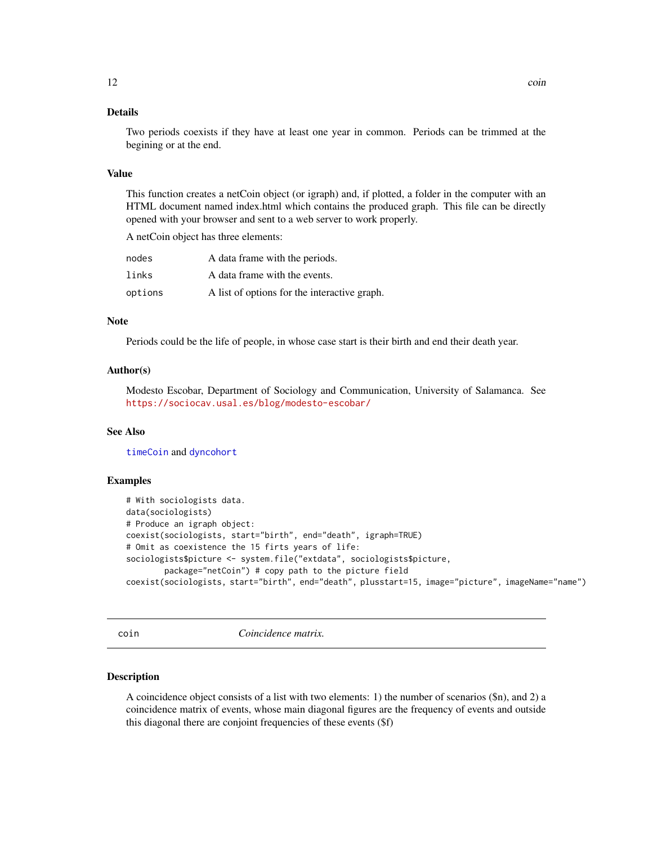# <span id="page-11-0"></span>Details

Two periods coexists if they have at least one year in common. Periods can be trimmed at the begining or at the end.

#### Value

This function creates a netCoin object (or igraph) and, if plotted, a folder in the computer with an HTML document named index.html which contains the produced graph. This file can be directly opened with your browser and sent to a web server to work properly.

A netCoin object has three elements:

| nodes   | A data frame with the periods.               |
|---------|----------------------------------------------|
| links   | A data frame with the events.                |
| options | A list of options for the interactive graph. |

# **Note**

Periods could be the life of people, in whose case start is their birth and end their death year.

# Author(s)

Modesto Escobar, Department of Sociology and Communication, University of Salamanca. See <https://sociocav.usal.es/blog/modesto-escobar/>

# See Also

[timeCoin](#page-49-1) and [dyncohort](#page-17-1)

#### Examples

```
# With sociologists data.
data(sociologists)
# Produce an igraph object:
coexist(sociologists, start="birth", end="death", igraph=TRUE)
# Omit as coexistence the 15 firts years of life:
sociologists$picture <- system.file("extdata", sociologists$picture,
        package="netCoin") # copy path to the picture field
coexist(sociologists, start="birth", end="death", plusstart=15, image="picture", imageName="name")
```
<span id="page-11-1"></span>

coin *Coincidence matrix.*

#### Description

A coincidence object consists of a list with two elements: 1) the number of scenarios (\$n), and 2) a coincidence matrix of events, whose main diagonal figures are the frequency of events and outside this diagonal there are conjoint frequencies of these events (\$f)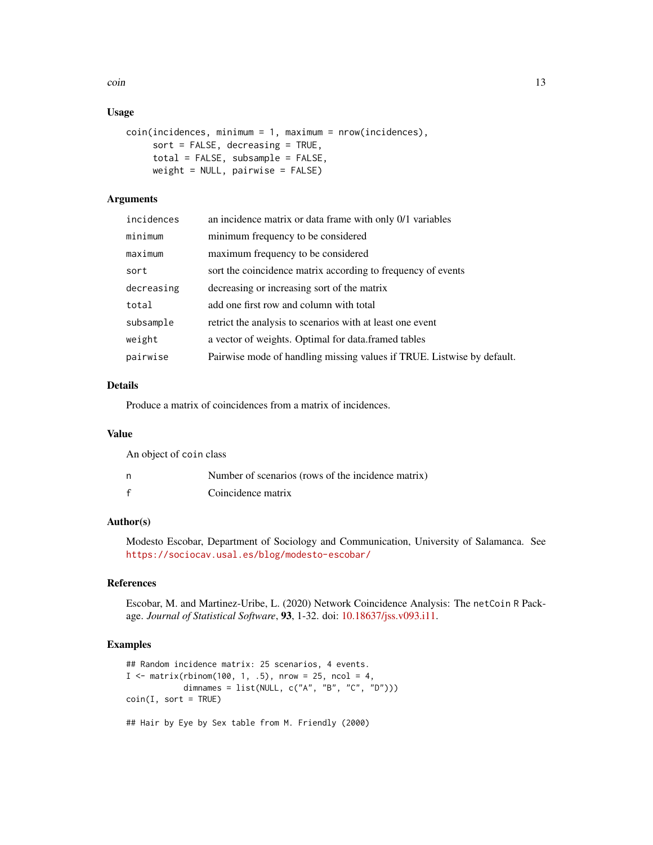coin and the contract of the contract of the contract of the contract of the contract of the contract of the contract of the contract of the contract of the contract of the contract of the contract of the contract of the c

# Usage

```
coin(incidences, minimum = 1, maximum = nrow(incidences),
     sort = FALSE, decreasing = TRUE,
     total = FALSE, subsample = FALSE,
     weight = NULL, pairwise = FALSE)
```
# **Arguments**

| incidences | an incidence matrix or data frame with only 0/1 variables              |
|------------|------------------------------------------------------------------------|
| minimum    | minimum frequency to be considered                                     |
| maximum    | maximum frequency to be considered                                     |
| sort       | sort the coincidence matrix according to frequency of events           |
| decreasing | decreasing or increasing sort of the matrix                            |
| total      | add one first row and column with total                                |
| subsample  | retrict the analysis to scenarios with at least one event              |
| weight     | a vector of weights. Optimal for data framed tables                    |
| pairwise   | Pairwise mode of handling missing values if TRUE. Listwise by default. |

# Details

Produce a matrix of coincidences from a matrix of incidences.

# Value

| An object of coin class |                                                    |
|-------------------------|----------------------------------------------------|
| n                       | Number of scenarios (rows of the incidence matrix) |
| $\mathbf{f}$            | Coincidence matrix                                 |

# Author(s)

Modesto Escobar, Department of Sociology and Communication, University of Salamanca. See <https://sociocav.usal.es/blog/modesto-escobar/>

#### References

Escobar, M. and Martinez-Uribe, L. (2020) Network Coincidence Analysis: The netCoin R Package. *Journal of Statistical Software*, 93, 1-32. doi: [10.18637/jss.v093.i11.](https://doi.org/10.18637/jss.v093.i11)

```
## Random incidence matrix: 25 scenarios, 4 events.
I \le matrix(rbinom(100, 1, .5), nrow = 25, ncol = 4,
            dimnames = list(NULL, c("A", "B", "C", "D")))
coin(I, sort = TRUE)## Hair by Eye by Sex table from M. Friendly (2000)
```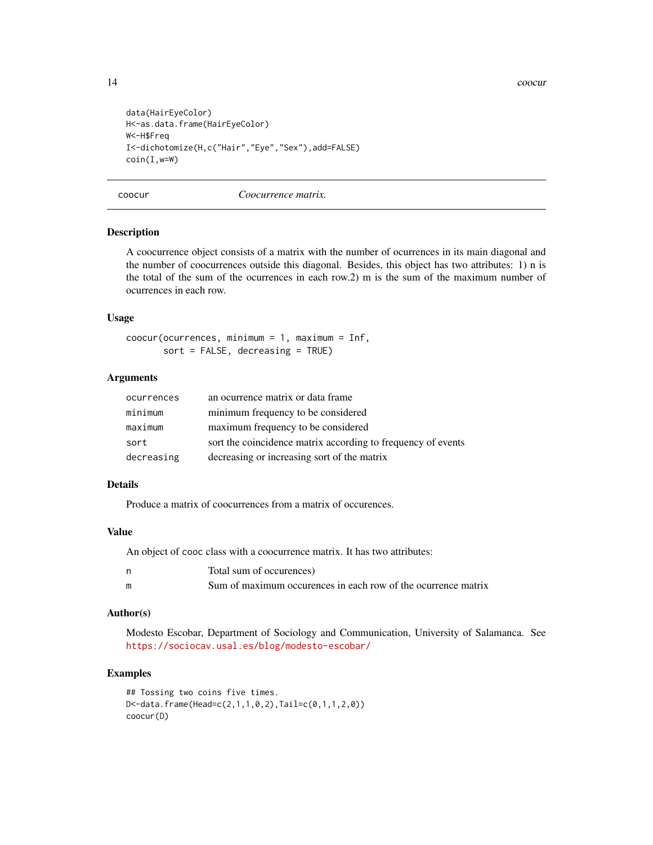```
data(HairEyeColor)
H<-as.data.frame(HairEyeColor)
W<-H$Freq
I<-dichotomize(H,c("Hair","Eye","Sex"),add=FALSE)
coin(I,w=W)
```
coocur *Coocurrence matrix.*

## Description

A coocurrence object consists of a matrix with the number of ocurrences in its main diagonal and the number of coocurrences outside this diagonal. Besides, this object has two attributes: 1) n is the total of the sum of the ocurrences in each row.2) m is the sum of the maximum number of ocurrences in each row.

#### Usage

coocur(ocurrences, minimum = 1, maximum = Inf, sort = FALSE, decreasing = TRUE)

# **Arguments**

| ocurrences | an ocurrence matrix or data frame                            |
|------------|--------------------------------------------------------------|
| minimum    | minimum frequency to be considered                           |
| maximum    | maximum frequency to be considered                           |
| sort       | sort the coincidence matrix according to frequency of events |
| decreasing | decreasing or increasing sort of the matrix                  |

#### Details

Produce a matrix of coocurrences from a matrix of occurences.

#### Value

An object of cooc class with a coocurrence matrix. It has two attributes:

|   | Total sum of occurences)                                      |
|---|---------------------------------------------------------------|
| m | Sum of maximum occurences in each row of the ocurrence matrix |

#### Author(s)

Modesto Escobar, Department of Sociology and Communication, University of Salamanca. See <https://sociocav.usal.es/blog/modesto-escobar/>

```
## Tossing two coins five times.
D<-data.frame(Head=c(2,1,1,0,2),Tail=c(0,1,1,2,0))
coocur(D)
```
<span id="page-13-0"></span>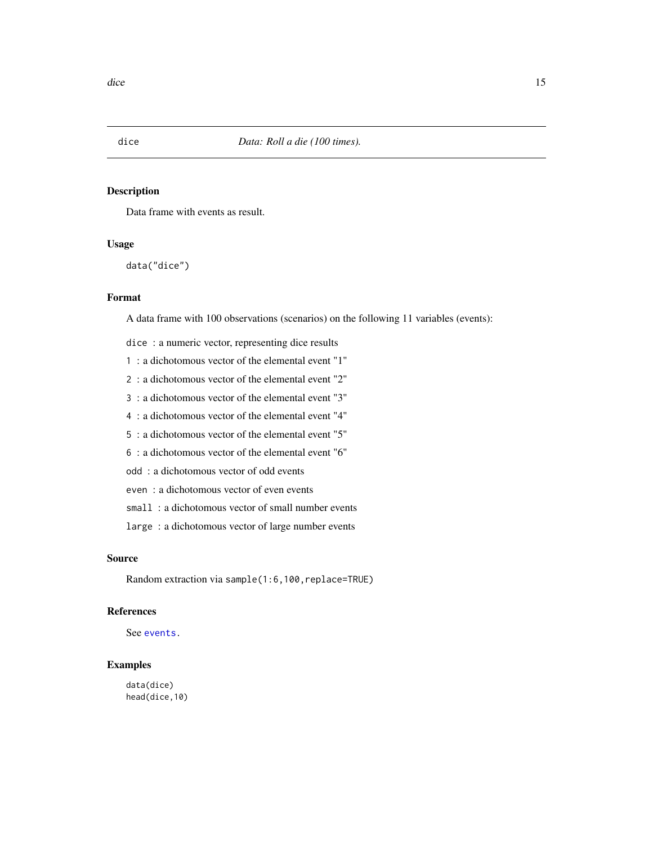<span id="page-14-1"></span><span id="page-14-0"></span>

Data frame with events as result.

# Usage

data("dice")

# Format

A data frame with 100 observations (scenarios) on the following 11 variables (events):

dice : a numeric vector, representing dice results

- 1 : a dichotomous vector of the elemental event "1"
- 2 : a dichotomous vector of the elemental event "2"
- 3 : a dichotomous vector of the elemental event "3"
- 4 : a dichotomous vector of the elemental event "4"
- 5 : a dichotomous vector of the elemental event "5"
- 6 : a dichotomous vector of the elemental event "6"
- odd : a dichotomous vector of odd events
- even : a dichotomous vector of even events
- small : a dichotomous vector of small number events
- large : a dichotomous vector of large number events

# Source

Random extraction via sample(1:6,100,replace=TRUE)

# References

See [events.](#page-20-1)

# Examples

data(dice) head(dice,10)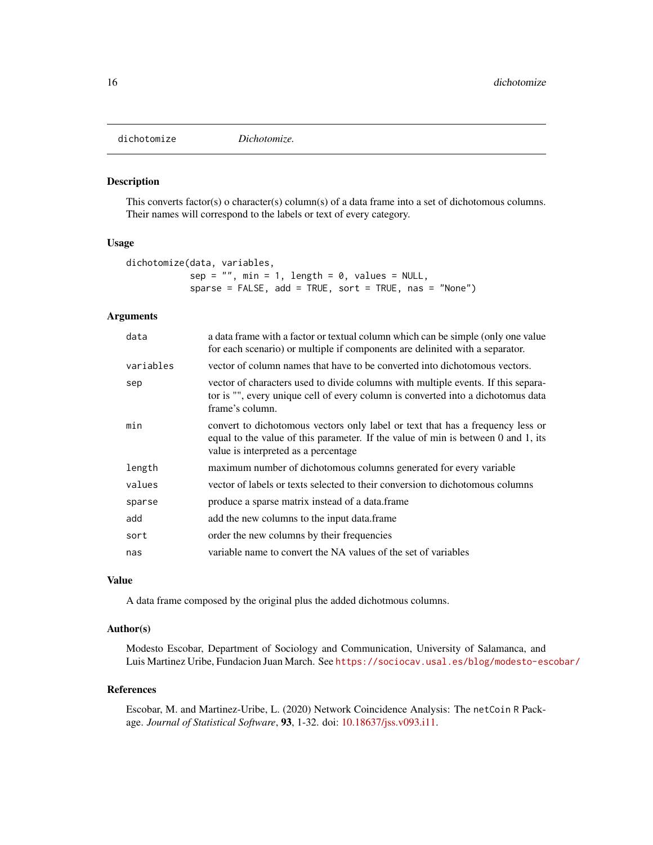<span id="page-15-0"></span>

This converts factor(s) o character(s) column(s) of a data frame into a set of dichotomous columns. Their names will correspond to the labels or text of every category.

#### Usage

```
dichotomize(data, variables,
           sep = "", min = 1, length = 0, values = NULL,sparse = FALSE, add = TRUE, sort = TRUE, nas = "None")
```
# Arguments

| data      | a data frame with a factor or textual column which can be simple (only one value<br>for each scenario) or multiple if components are delinited with a separator.                                             |
|-----------|--------------------------------------------------------------------------------------------------------------------------------------------------------------------------------------------------------------|
| variables | vector of column names that have to be converted into dichotomous vectors.                                                                                                                                   |
| sep       | vector of characters used to divide columns with multiple events. If this separa-<br>tor is "", every unique cell of every column is converted into a dichotomus data<br>frame's column.                     |
| min       | convert to dichotomous vectors only label or text that has a frequency less or<br>equal to the value of this parameter. If the value of min is between 0 and 1, its<br>value is interpreted as a percentage. |
| length    | maximum number of dichotomous columns generated for every variable                                                                                                                                           |
| values    | vector of labels or texts selected to their conversion to dichotomous columns                                                                                                                                |
| sparse    | produce a sparse matrix instead of a data.frame                                                                                                                                                              |
| add       | add the new columns to the input data.frame                                                                                                                                                                  |
| sort      | order the new columns by their frequencies                                                                                                                                                                   |
| nas       | variable name to convert the NA values of the set of variables                                                                                                                                               |
|           |                                                                                                                                                                                                              |

# Value

A data frame composed by the original plus the added dichotmous columns.

# Author(s)

Modesto Escobar, Department of Sociology and Communication, University of Salamanca, and Luis Martinez Uribe, Fundacion Juan March. See <https://sociocav.usal.es/blog/modesto-escobar/>

#### References

Escobar, M. and Martinez-Uribe, L. (2020) Network Coincidence Analysis: The netCoin R Package. *Journal of Statistical Software*, 93, 1-32. doi: [10.18637/jss.v093.i11.](https://doi.org/10.18637/jss.v093.i11)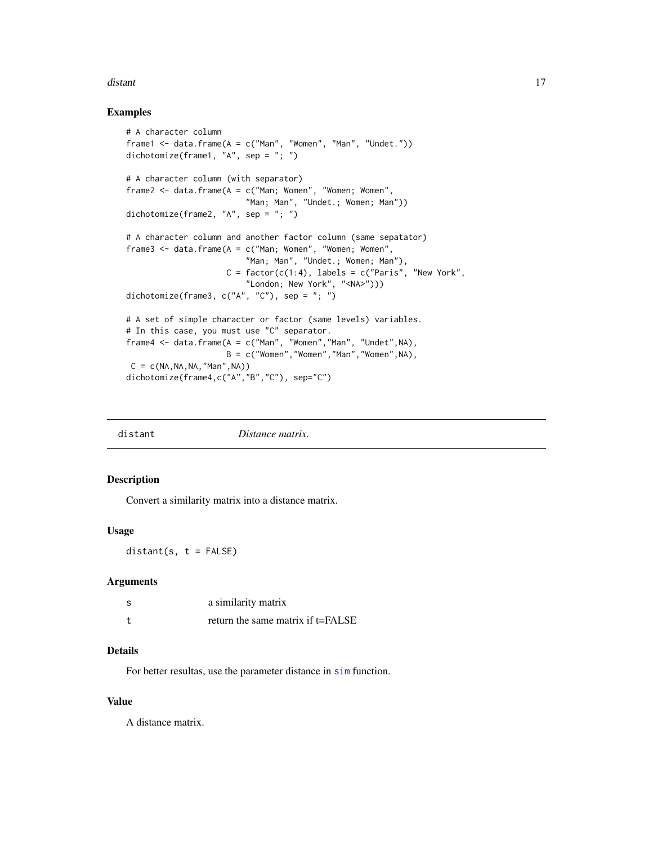#### <span id="page-16-0"></span>distant the contract of the contract of the contract of the contract of the contract of the contract of the contract of the contract of the contract of the contract of the contract of the contract of the contract of the co

# Examples

```
# A character column
frame1 <- data.frame(A = c("Man", "Women", "Man", "Under.")dichotomize(frame1, "A", sep = "; ")
# A character column (with separator)
frame2 <- data.frame(A = c("Man; Women", "Women; Women",
                         "Man; Man", "Undet.; Women; Man"))
dichotomize(frame2, "A", sep = "; ")
# A character column and another factor column (same sepatator)
frame3 <- data.frame(A = c("Man; Women", "Women; Women",
                         "Man; Man", "Undet.; Women; Man"),
                     C = factor(c(1:4), \text{ labels} = c("Paris", \text{ "New York",}"London; New York", "<NA>")))
dichotomize(frame3, c("A", "C"), sep = "; ")
# A set of simple character or factor (same levels) variables.
# In this case, you must use "C" separator.
frame4 \leq data.frame(A = c("Man", "Women", "Man", "Under", NA),B = c("Women", "Women", "Man", "Women", NA),C = c(NA, NA, NA, "Man", NA))dichotomize(frame4,c("A","B","C"), sep="C")
```

| distant | Distance matrix. |
|---------|------------------|
|         |                  |

# Description

Convert a similarity matrix into a distance matrix.

#### Usage

 $distant(s, t = FALSE)$ 

#### **Arguments**

| S | a similarity matrix               |
|---|-----------------------------------|
| t | return the same matrix if t=FALSE |

# Details

For better resultas, use the parameter distance in [sim](#page-43-1) function.

#### Value

A distance matrix.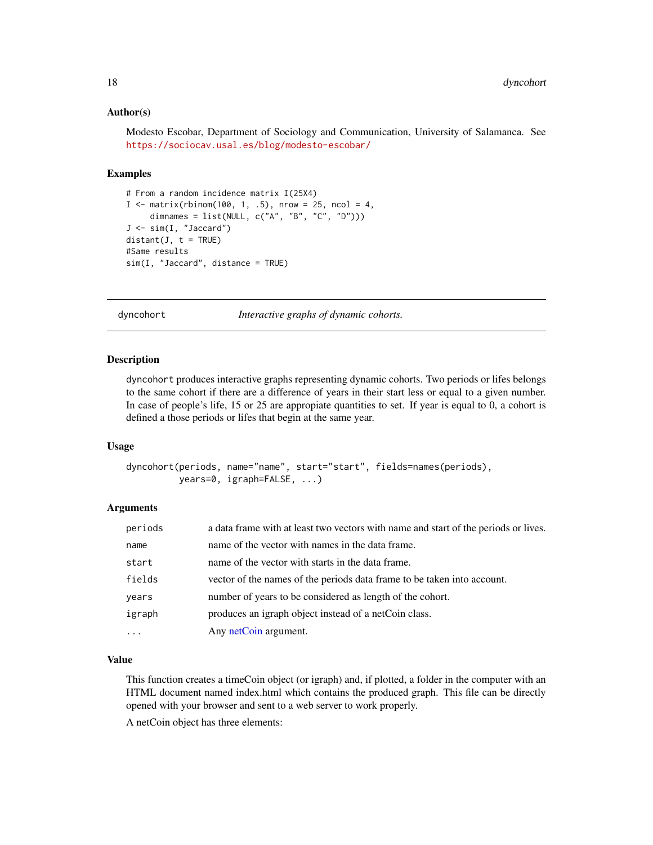### <span id="page-17-0"></span>Author(s)

Modesto Escobar, Department of Sociology and Communication, University of Salamanca. See <https://sociocav.usal.es/blog/modesto-escobar/>

#### Examples

```
# From a random incidence matrix I(25X4)
I < - matrix(rbinom(100, 1, .5), nrow = 25, ncol = 4,
     dimnames = list(NULL, c("A", "B", "C", "D")))
J <- sim(I, "Jaccard")
distant(J, t = TRUE)#Same results
sim(I, "Jaccard", distance = TRUE)
```
<span id="page-17-1"></span>dyncohort *Interactive graphs of dynamic cohorts.*

#### Description

dyncohort produces interactive graphs representing dynamic cohorts. Two periods or lifes belongs to the same cohort if there are a difference of years in their start less or equal to a given number. In case of people's life, 15 or 25 are appropiate quantities to set. If year is equal to 0, a cohort is defined a those periods or lifes that begin at the same year.

#### Usage

```
dyncohort(periods, name="name", start="start", fields=names(periods),
          years=0, igraph=FALSE, ...)
```
### Arguments

| periods | a data frame with at least two vectors with name and start of the periods or lives. |
|---------|-------------------------------------------------------------------------------------|
| name    | name of the vector with names in the data frame.                                    |
| start   | name of the vector with starts in the data frame.                                   |
| fields  | vector of the names of the periods data frame to be taken into account.             |
| years   | number of years to be considered as length of the cohort.                           |
| igraph  | produces an igraph object instead of a netCoin class.                               |
|         | Any netCoin argument.                                                               |

# Value

This function creates a timeCoin object (or igraph) and, if plotted, a folder in the computer with an HTML document named index.html which contains the produced graph. This file can be directly opened with your browser and sent to a web server to work properly.

A netCoin object has three elements: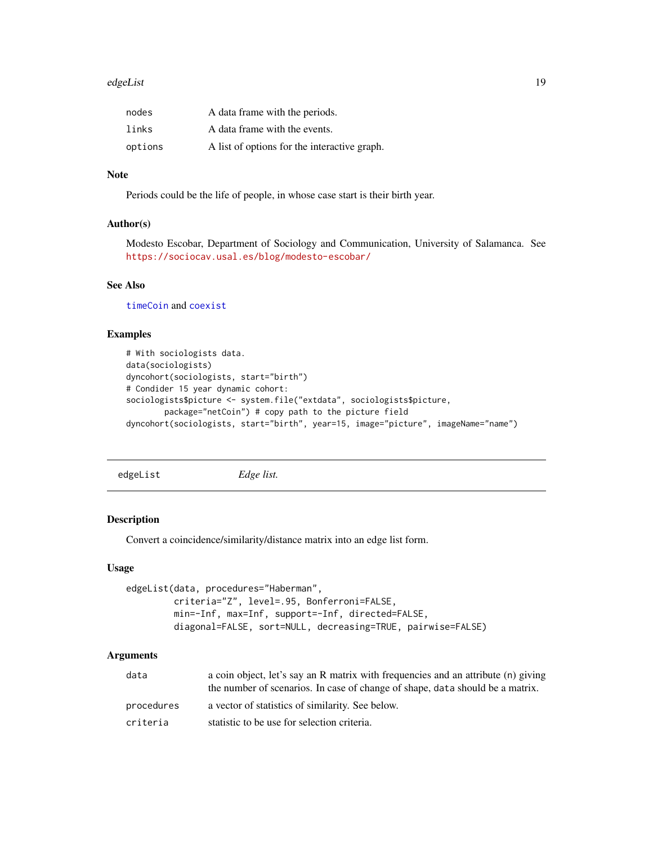#### <span id="page-18-0"></span>edgeList 19

| nodes   | A data frame with the periods.               |
|---------|----------------------------------------------|
| links   | A data frame with the events.                |
| options | A list of options for the interactive graph. |

# Note

Periods could be the life of people, in whose case start is their birth year.

# Author(s)

Modesto Escobar, Department of Sociology and Communication, University of Salamanca. See <https://sociocav.usal.es/blog/modesto-escobar/>

# See Also

[timeCoin](#page-49-1) and [coexist](#page-10-1)

# Examples

```
# With sociologists data.
data(sociologists)
dyncohort(sociologists, start="birth")
# Condider 15 year dynamic cohort:
sociologists$picture <- system.file("extdata", sociologists$picture,
       package="netCoin") # copy path to the picture field
dyncohort(sociologists, start="birth", year=15, image="picture", imageName="name")
```
<span id="page-18-1"></span>edgeList *Edge list.*

# Description

Convert a coincidence/similarity/distance matrix into an edge list form.

# Usage

```
edgeList(data, procedures="Haberman",
         criteria="Z", level=.95, Bonferroni=FALSE,
        min=-Inf, max=Inf, support=-Inf, directed=FALSE,
         diagonal=FALSE, sort=NULL, decreasing=TRUE, pairwise=FALSE)
```
# Arguments

| data       | a coin object, let's say an R matrix with frequencies and an attribute (n) giving<br>the number of scenarios. In case of change of shape, data should be a matrix. |
|------------|--------------------------------------------------------------------------------------------------------------------------------------------------------------------|
| procedures | a vector of statistics of similarity. See below.                                                                                                                   |
| criteria   | statistic to be use for selection criteria.                                                                                                                        |
|            |                                                                                                                                                                    |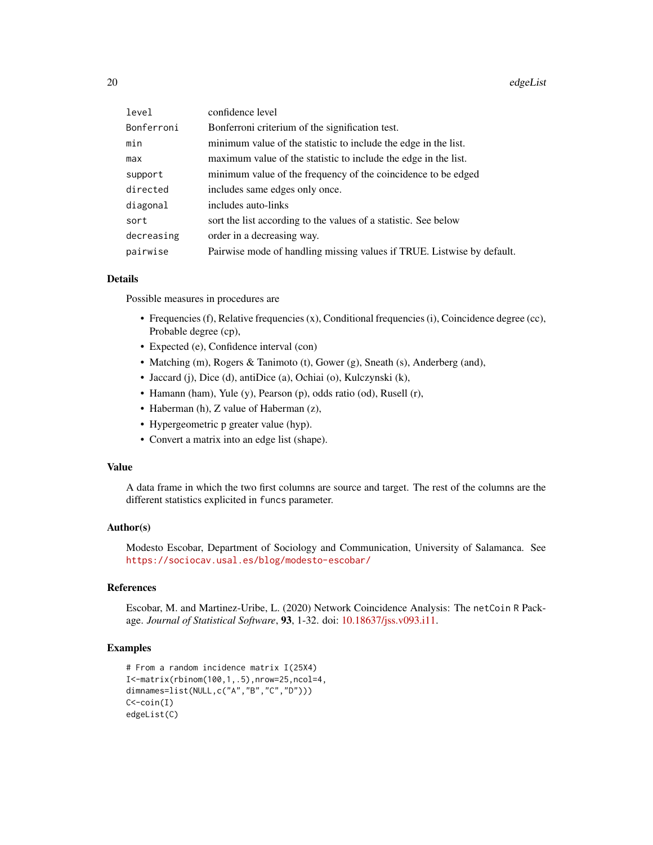| level      | confidence level                                                       |
|------------|------------------------------------------------------------------------|
| Bonferroni | Bonferroni criterium of the signification test.                        |
| min        | minimum value of the statistic to include the edge in the list.        |
| max        | maximum value of the statistic to include the edge in the list.        |
| support    | minimum value of the frequency of the coincidence to be edged          |
| directed   | includes same edges only once.                                         |
| diagonal   | includes auto-links                                                    |
| sort       | sort the list according to the values of a statistic. See below        |
| decreasing | order in a decreasing way.                                             |
| pairwise   | Pairwise mode of handling missing values if TRUE. Listwise by default. |

#### Details

Possible measures in procedures are

- Frequencies (f), Relative frequencies (x), Conditional frequencies (i), Coincidence degree (cc), Probable degree (cp),
- Expected (e), Confidence interval (con)
- Matching (m), Rogers & Tanimoto (t), Gower (g), Sneath (s), Anderberg (and),
- Jaccard (j), Dice (d), antiDice (a), Ochiai (o), Kulczynski (k),
- Hamann (ham), Yule (y), Pearson (p), odds ratio (od), Rusell (r),
- Haberman (h), Z value of Haberman (z),
- Hypergeometric p greater value (hyp).
- Convert a matrix into an edge list (shape).

#### Value

A data frame in which the two first columns are source and target. The rest of the columns are the different statistics explicited in funcs parameter.

# Author(s)

Modesto Escobar, Department of Sociology and Communication, University of Salamanca. See <https://sociocav.usal.es/blog/modesto-escobar/>

# References

Escobar, M. and Martinez-Uribe, L. (2020) Network Coincidence Analysis: The netCoin R Package. *Journal of Statistical Software*, 93, 1-32. doi: [10.18637/jss.v093.i11.](https://doi.org/10.18637/jss.v093.i11)

```
# From a random incidence matrix I(25X4)
I<-matrix(rbinom(100,1,.5),nrow=25,ncol=4,
dimnames=list(NULL,c("A","B","C","D")))
C < -coin(I)edgeList(C)
```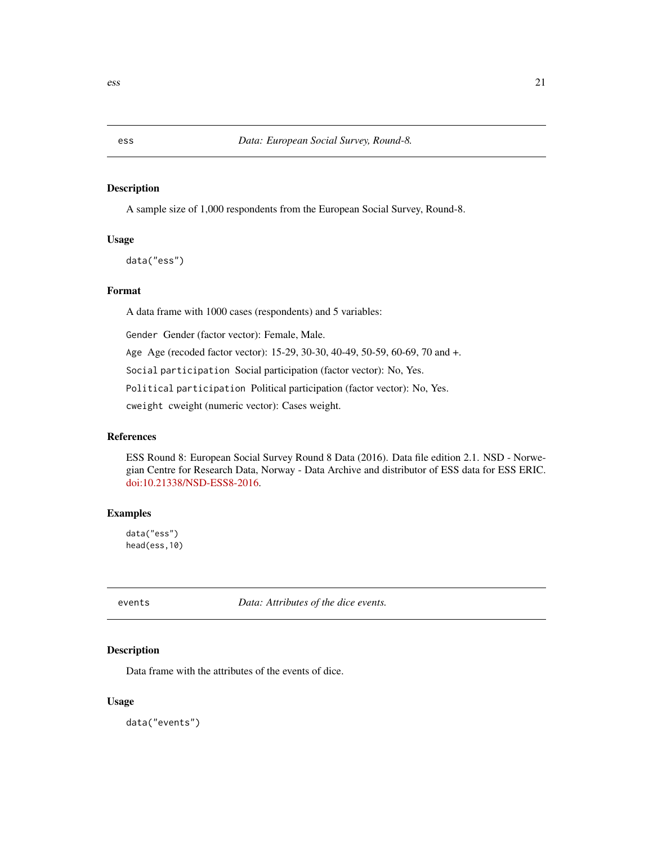A sample size of 1,000 respondents from the European Social Survey, Round-8.

# Usage

data("ess")

# Format

A data frame with 1000 cases (respondents) and 5 variables:

Gender Gender (factor vector): Female, Male.

Age Age (recoded factor vector): 15-29, 30-30, 40-49, 50-59, 60-69, 70 and +.

Social participation Social participation (factor vector): No, Yes.

Political participation Political participation (factor vector): No, Yes.

cweight cweight (numeric vector): Cases weight.

#### References

ESS Round 8: European Social Survey Round 8 Data (2016). Data file edition 2.1. NSD - Norwegian Centre for Research Data, Norway - Data Archive and distributor of ESS data for ESS ERIC. [doi:10.21338/NSD-ESS8-2016.](https://www.europeansocialsurvey.org/data/download.html?r=8)

# Examples

data("ess") head(ess,10)

<span id="page-20-1"></span>events *Data: Attributes of the dice events.*

# Description

Data frame with the attributes of the events of dice.

# Usage

data("events")

<span id="page-20-0"></span>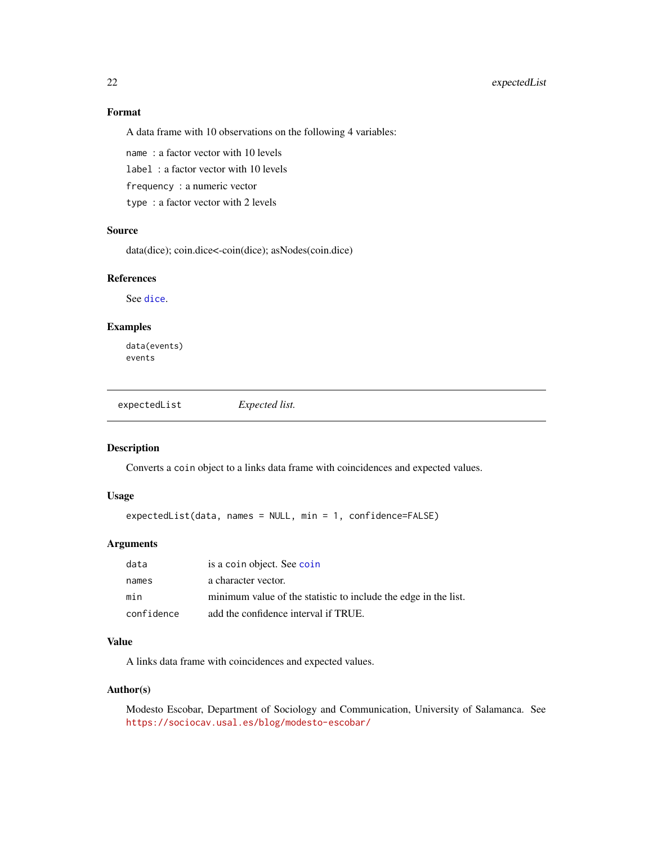# Format

A data frame with 10 observations on the following 4 variables:

name : a factor vector with 10 levels

label : a factor vector with 10 levels

frequency : a numeric vector

type : a factor vector with 2 levels

#### Source

data(dice); coin.dice<-coin(dice); asNodes(coin.dice)

# References

See [dice](#page-14-1).

#### Examples

data(events) events

expectedList *Expected list.*

# Description

Converts a coin object to a links data frame with coincidences and expected values.

## Usage

expectedList(data, names = NULL, min = 1, confidence=FALSE)

#### Arguments

| data       | is a coin object. See coin                                      |
|------------|-----------------------------------------------------------------|
| names      | a character vector.                                             |
| min        | minimum value of the statistic to include the edge in the list. |
| confidence | add the confidence interval if TRUE.                            |

### Value

A links data frame with coincidences and expected values.

#### Author(s)

Modesto Escobar, Department of Sociology and Communication, University of Salamanca. See <https://sociocav.usal.es/blog/modesto-escobar/>

<span id="page-21-0"></span>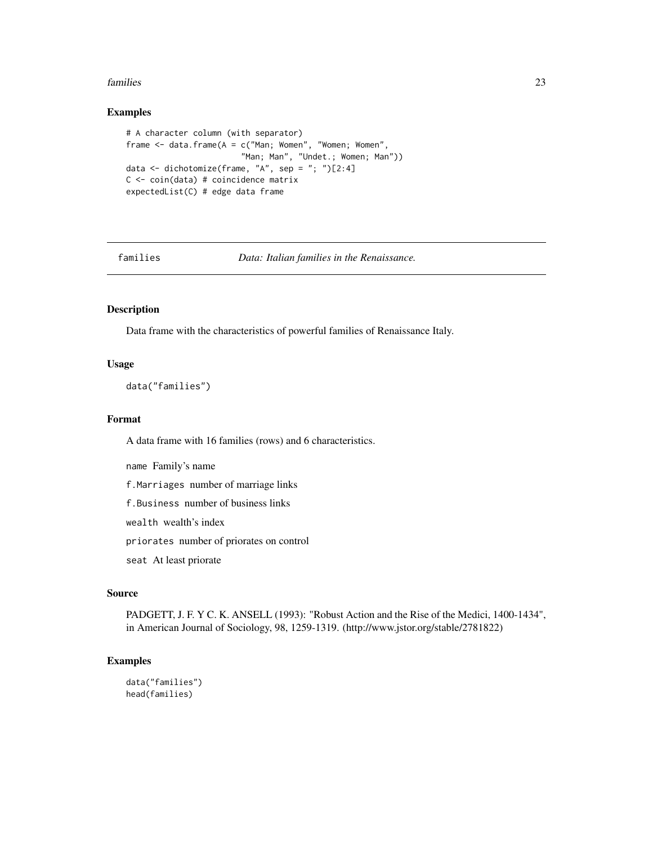#### <span id="page-22-0"></span>families 23

# Examples

```
# A character column (with separator)
frame <- data.frame(A = c("Man; Women", "Women; Women",
                         "Man; Man", "Undet.; Women; Man"))
data \leq dichotomize(frame, "A", sep = "; ")[2:4]
C \leq -\coin(\text{data}) # coincidence matrix
expectedList(C) # edge data frame
```
families *Data: Italian families in the Renaissance.*

# Description

Data frame with the characteristics of powerful families of Renaissance Italy.

# Usage

data("families")

#### Format

A data frame with 16 families (rows) and 6 characteristics.

name Family's name

f.Marriages number of marriage links

f.Business number of business links

wealth wealth's index

priorates number of priorates on control

seat At least priorate

# Source

PADGETT, J. F. Y C. K. ANSELL (1993): "Robust Action and the Rise of the Medici, 1400-1434", in American Journal of Sociology, 98, 1259-1319. (http://www.jstor.org/stable/2781822)

```
data("families")
head(families)
```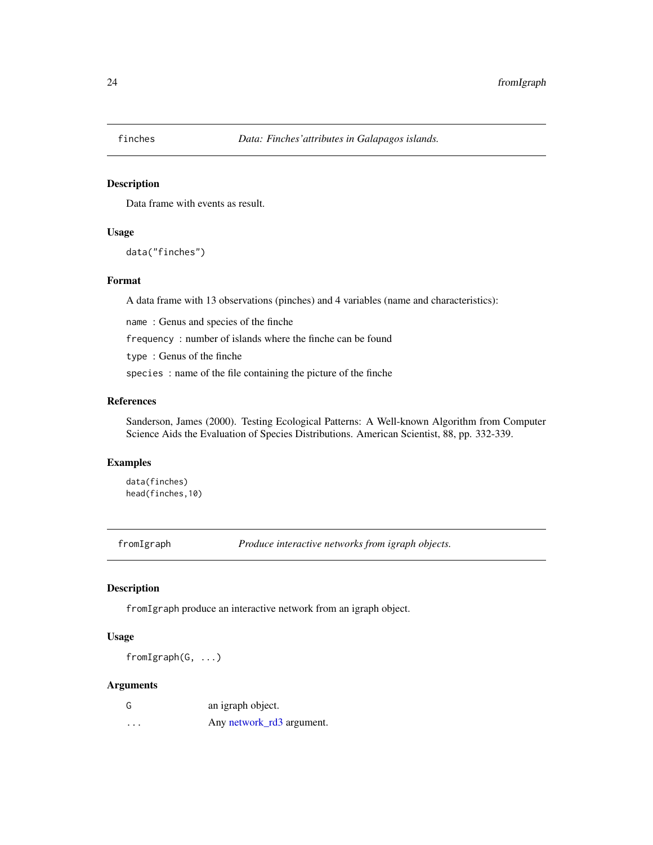<span id="page-23-0"></span>

Data frame with events as result.

#### Usage

data("finches")

# Format

A data frame with 13 observations (pinches) and 4 variables (name and characteristics):

name : Genus and species of the finche

frequency : number of islands where the finche can be found

type : Genus of the finche

species : name of the file containing the picture of the finche

# References

Sanderson, James (2000). Testing Ecological Patterns: A Well-known Algorithm from Computer Science Aids the Evaluation of Species Distributions. American Scientist, 88, pp. 332-339.

#### Examples

data(finches) head(finches,10)

fromIgraph *Produce interactive networks from igraph objects.*

# Description

fromIgraph produce an interactive network from an igraph object.

#### Usage

fromIgraph(G, ...)

# Arguments

| G | an igraph object.         |
|---|---------------------------|
| . | Any network_rd3 argument. |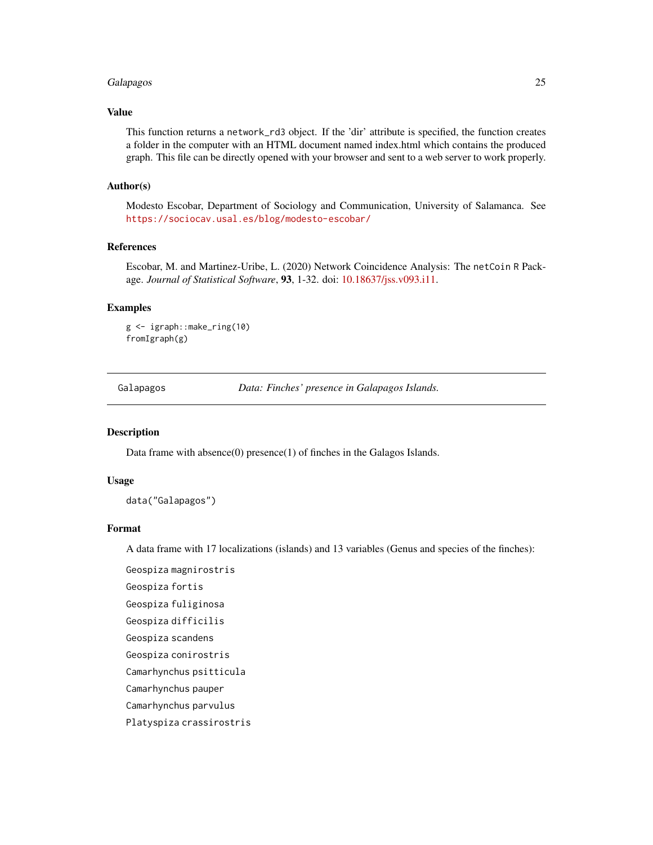# <span id="page-24-0"></span>Galapagos 25

# Value

This function returns a network\_rd3 object. If the 'dir' attribute is specified, the function creates a folder in the computer with an HTML document named index.html which contains the produced graph. This file can be directly opened with your browser and sent to a web server to work properly.

# Author(s)

Modesto Escobar, Department of Sociology and Communication, University of Salamanca. See <https://sociocav.usal.es/blog/modesto-escobar/>

#### References

Escobar, M. and Martinez-Uribe, L. (2020) Network Coincidence Analysis: The netCoin R Package. *Journal of Statistical Software*, 93, 1-32. doi: [10.18637/jss.v093.i11.](https://doi.org/10.18637/jss.v093.i11)

# Examples

```
g <- igraph::make_ring(10)
fromIgraph(g)
```
Galapagos *Data: Finches' presence in Galapagos Islands.*

#### Description

Data frame with absence(0) presence(1) of finches in the Galagos Islands.

# Usage

data("Galapagos")

#### Format

A data frame with 17 localizations (islands) and 13 variables (Genus and species of the finches):

Geospiza magnirostris Geospiza fortis Geospiza fuliginosa Geospiza difficilis Geospiza scandens Geospiza conirostris Camarhynchus psitticula Camarhynchus pauper Camarhynchus parvulus Platyspiza crassirostris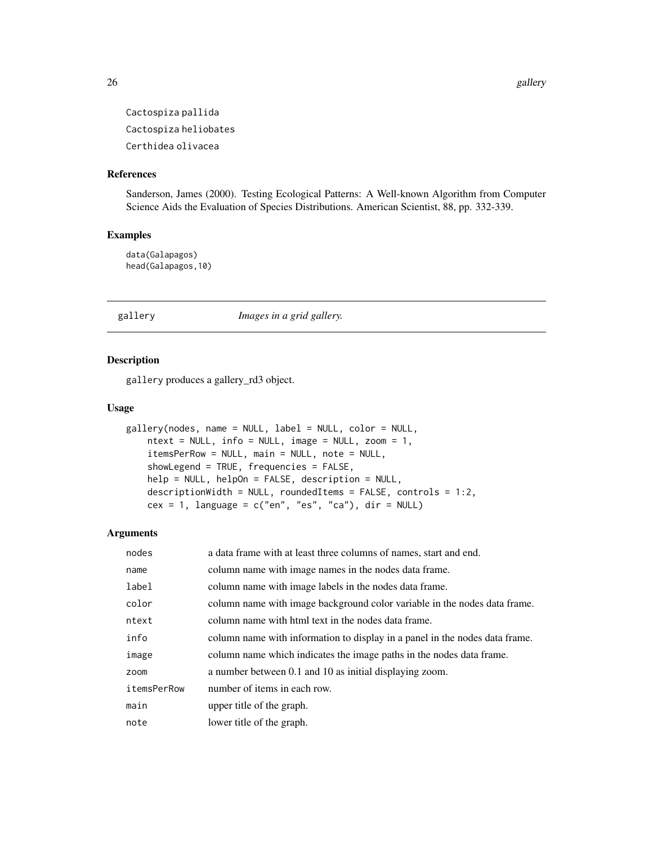Cactospiza pallida Cactospiza heliobates Certhidea olivacea

#### References

Sanderson, James (2000). Testing Ecological Patterns: A Well-known Algorithm from Computer Science Aids the Evaluation of Species Distributions. American Scientist, 88, pp. 332-339.

# Examples

data(Galapagos) head(Galapagos,10)

gallery *Images in a grid gallery.*

#### Description

gallery produces a gallery\_rd3 object.

#### Usage

```
gallery(nodes, name = NULL, label = NULL, color = NULL,
   ntext = NULL, info = NULL, image = NULL, zoom = 1,
   itemsPerRow = NULL, main = NULL, note = NULL,
   showLegend = TRUE, frequencies = FALSE,
   help = NULL, helpOn = FALSE, description = NULL,
   descriptionWidth = NULL, roundedItems = FALSE, controls = 1:2,
   cex = 1, language = c("en", "es", "ca"), dir = NULL)
```
#### Arguments

| nodes       | a data frame with at least three columns of names, start and end.           |
|-------------|-----------------------------------------------------------------------------|
| name        | column name with image names in the nodes data frame.                       |
| label       | column name with image labels in the nodes data frame.                      |
| color       | column name with image background color variable in the nodes data frame.   |
| ntext       | column name with html text in the nodes data frame.                         |
| info        | column name with information to display in a panel in the nodes data frame. |
| image       | column name which indicates the image paths in the nodes data frame.        |
| zoom        | a number between 0.1 and 10 as initial displaying zoom.                     |
| itemsPerRow | number of items in each row.                                                |
| main        | upper title of the graph.                                                   |
| note        | lower title of the graph.                                                   |

<span id="page-25-0"></span>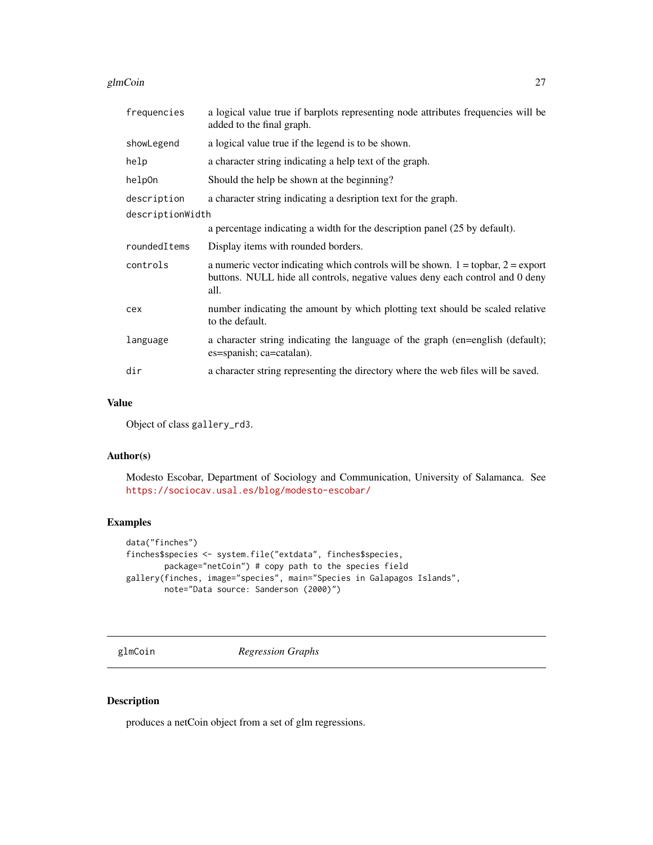#### <span id="page-26-0"></span>glmCoin 27

| frequencies      | a logical value true if barplots representing node attributes frequencies will be<br>added to the final graph.                                                                |
|------------------|-------------------------------------------------------------------------------------------------------------------------------------------------------------------------------|
| showLegend       | a logical value true if the legend is to be shown.                                                                                                                            |
| help             | a character string indicating a help text of the graph.                                                                                                                       |
| help0n           | Should the help be shown at the beginning?                                                                                                                                    |
| description      | a character string indicating a desription text for the graph.                                                                                                                |
| descriptionWidth |                                                                                                                                                                               |
|                  | a percentage indicating a width for the description panel (25 by default).                                                                                                    |
| roundedItems     | Display items with rounded borders.                                                                                                                                           |
| controls         | a numeric vector indicating which controls will be shown. $1 =$ topbar, $2 =$ export<br>buttons. NULL hide all controls, negative values deny each control and 0 deny<br>all. |
| cex              | number indicating the amount by which plotting text should be scaled relative<br>to the default.                                                                              |
| language         | a character string indicating the language of the graph (en=english (default);<br>es=spanish; ca=catalan).                                                                    |
| dir              | a character string representing the directory where the web files will be saved.                                                                                              |

# Value

Object of class gallery\_rd3.

#### Author(s)

Modesto Escobar, Department of Sociology and Communication, University of Salamanca. See <https://sociocav.usal.es/blog/modesto-escobar/>

# Examples

```
data("finches")
finches$species <- system.file("extdata", finches$species,
       package="netCoin") # copy path to the species field
gallery(finches, image="species", main="Species in Galapagos Islands",
       note="Data source: Sanderson (2000)")
```
glmCoin *Regression Graphs*

# Description

produces a netCoin object from a set of glm regressions.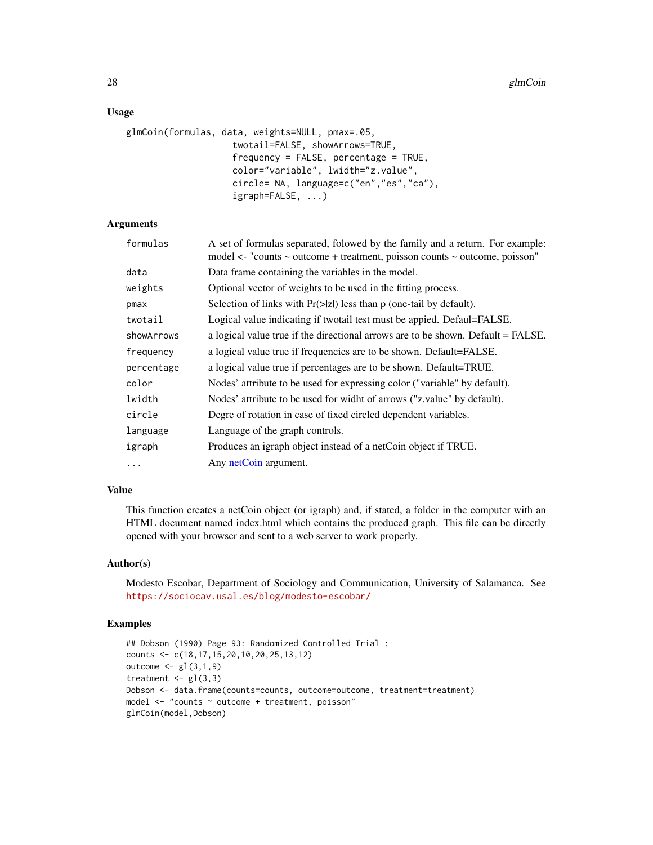# <span id="page-27-0"></span>Usage

```
glmCoin(formulas, data, weights=NULL, pmax=.05,
                    twotail=FALSE, showArrows=TRUE,
                    frequency = FALSE, percentage = TRUE,
                    color="variable", lwidth="z.value",
                    circle= NA, language=c("en","es","ca"),
                    igraph=FALSE, ...)
```
# Arguments

| A set of formulas separated, folowed by the family and a return. For example:<br>model <- "counts ~ outcome + treatment, poisson counts ~ outcome, poisson" |
|-------------------------------------------------------------------------------------------------------------------------------------------------------------|
| Data frame containing the variables in the model.                                                                                                           |
| Optional vector of weights to be used in the fitting process.                                                                                               |
| Selection of links with $Pr(\ge  z )$ less than p (one-tail by default).                                                                                    |
| Logical value indicating if twotail test must be appied. Defaul=FALSE.                                                                                      |
| a logical value true if the directional arrows are to be shown. Default = FALSE.                                                                            |
| a logical value true if frequencies are to be shown. Default=FALSE.                                                                                         |
| a logical value true if percentages are to be shown. Default=TRUE.                                                                                          |
| Nodes' attribute to be used for expressing color ("variable" by default).                                                                                   |
| Nodes' attribute to be used for widht of arrows ("z.value" by default).                                                                                     |
| Degre of rotation in case of fixed circled dependent variables.                                                                                             |
| Language of the graph controls.                                                                                                                             |
| Produces an igraph object instead of a netCoin object if TRUE.                                                                                              |
| Any netCoin argument.                                                                                                                                       |
|                                                                                                                                                             |

# Value

This function creates a netCoin object (or igraph) and, if stated, a folder in the computer with an HTML document named index.html which contains the produced graph. This file can be directly opened with your browser and sent to a web server to work properly.

# Author(s)

Modesto Escobar, Department of Sociology and Communication, University of Salamanca. See <https://sociocav.usal.es/blog/modesto-escobar/>

```
## Dobson (1990) Page 93: Randomized Controlled Trial :
counts <- c(18,17,15,20,10,20,25,13,12)
outcome \leq gl(3,1,9)
treatment \leq gl(3,3)
Dobson <- data.frame(counts=counts, outcome=outcome, treatment=treatment)
model <- "counts ~ outcome + treatment, poisson"
glmCoin(model,Dobson)
```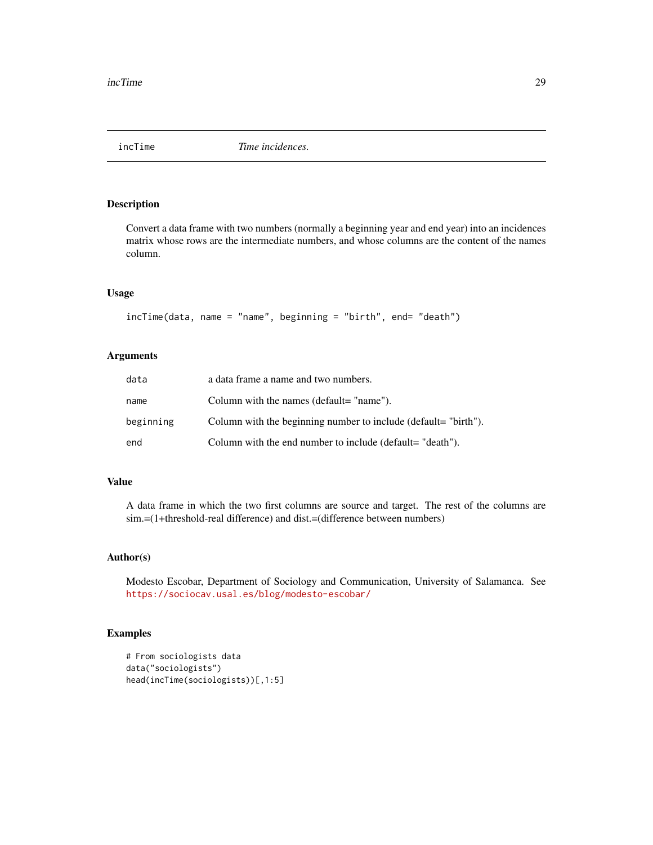<span id="page-28-0"></span>

Convert a data frame with two numbers (normally a beginning year and end year) into an incidences matrix whose rows are the intermediate numbers, and whose columns are the content of the names column.

# Usage

```
incTime(data, name = "name", beginning = "birth", end= "death")
```
# Arguments

| data      | a data frame a name and two numbers.                            |
|-----------|-----------------------------------------------------------------|
| name      | Column with the names (default= "name").                        |
| beginning | Column with the beginning number to include (default= "birth"). |
| end       | Column with the end number to include (default= "death").       |

# Value

A data frame in which the two first columns are source and target. The rest of the columns are sim.=(1+threshold-real difference) and dist.=(difference between numbers)

# Author(s)

Modesto Escobar, Department of Sociology and Communication, University of Salamanca. See <https://sociocav.usal.es/blog/modesto-escobar/>

```
# From sociologists data
data("sociologists")
head(incTime(sociologists))[,1:5]
```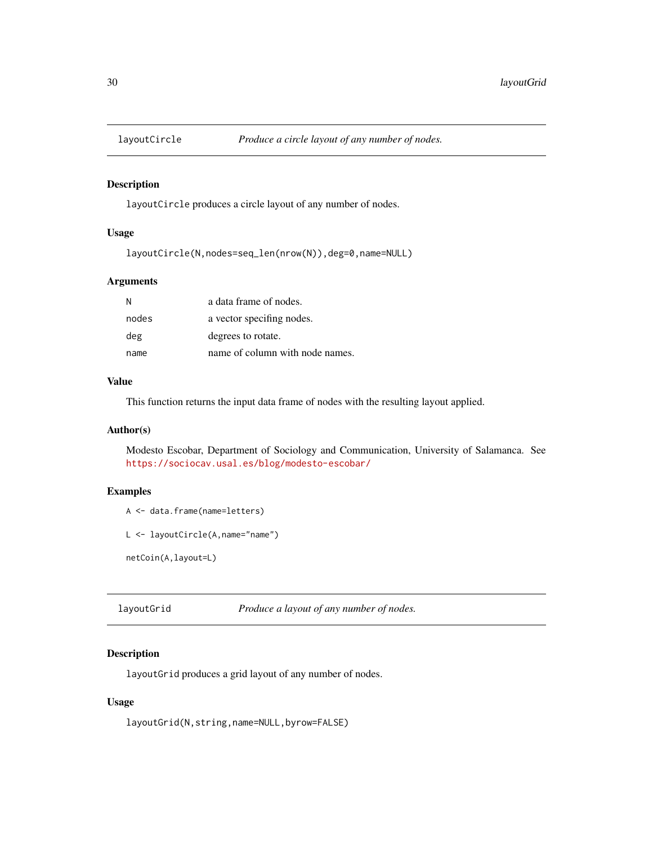<span id="page-29-0"></span>

layoutCircle produces a circle layout of any number of nodes.

# Usage

```
layoutCircle(N,nodes=seq_len(nrow(N)),deg=0,name=NULL)
```
# Arguments

| N     | a data frame of nodes.          |
|-------|---------------------------------|
| nodes | a vector specifing nodes.       |
| deg   | degrees to rotate.              |
| name  | name of column with node names. |

# Value

This function returns the input data frame of nodes with the resulting layout applied.

#### Author(s)

Modesto Escobar, Department of Sociology and Communication, University of Salamanca. See <https://sociocav.usal.es/blog/modesto-escobar/>

# Examples

```
A <- data.frame(name=letters)
```

```
L <- layoutCircle(A,name="name")
```

```
netCoin(A,layout=L)
```
layoutGrid *Produce a layout of any number of nodes.*

# Description

layoutGrid produces a grid layout of any number of nodes.

# Usage

layoutGrid(N,string,name=NULL,byrow=FALSE)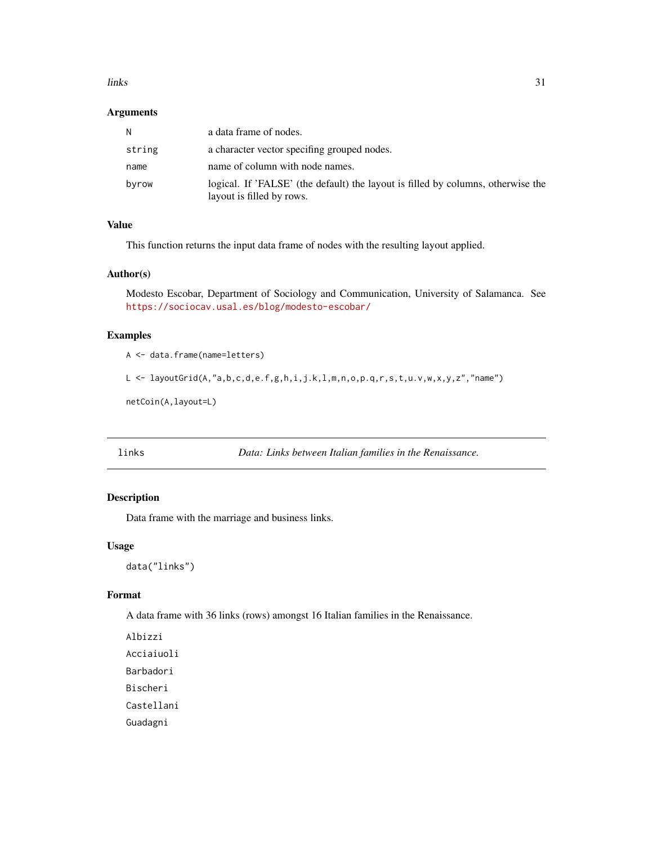#### <span id="page-30-0"></span>links 31

# Arguments

| N      | a data frame of nodes.                                                                                        |
|--------|---------------------------------------------------------------------------------------------------------------|
| string | a character vector specifing grouped nodes.                                                                   |
| name   | name of column with node names.                                                                               |
| byrow  | logical. If 'FALSE' (the default) the layout is filled by columns, otherwise the<br>layout is filled by rows. |

# Value

This function returns the input data frame of nodes with the resulting layout applied.

#### Author(s)

Modesto Escobar, Department of Sociology and Communication, University of Salamanca. See <https://sociocav.usal.es/blog/modesto-escobar/>

# Examples

A <- data.frame(name=letters)

L <- layoutGrid(A,"a,b,c,d,e.f,g,h,i,j.k,l,m,n,o,p.q,r,s,t,u.v,w,x,y,z","name")

netCoin(A,layout=L)

links *Data: Links between Italian families in the Renaissance.*

# Description

Data frame with the marriage and business links.

# Usage

data("links")

# Format

A data frame with 36 links (rows) amongst 16 Italian families in the Renaissance.

Albizzi Acciaiuoli Barbadori Bischeri Castellani Guadagni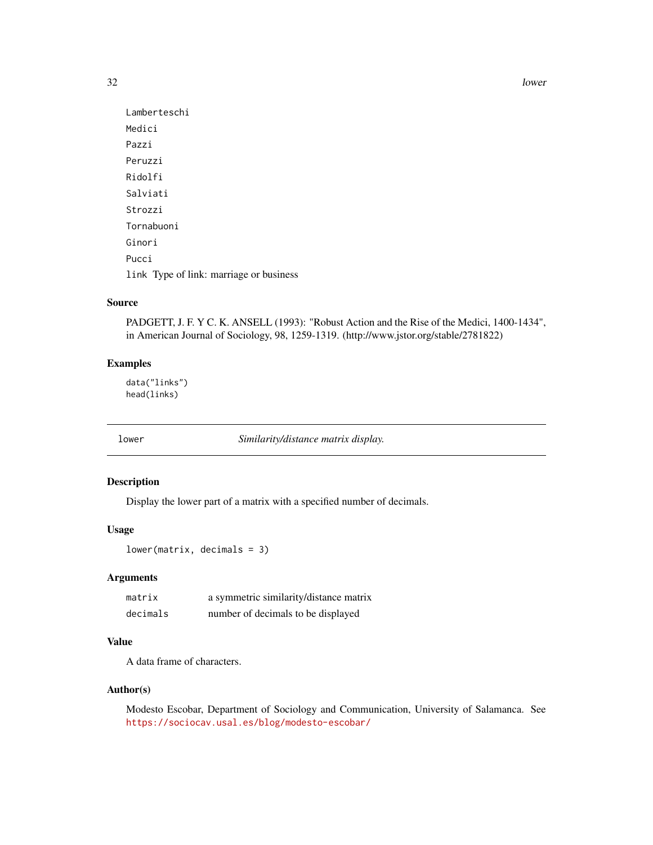<span id="page-31-0"></span>32 lower and the set of the set of the set of the set of the set of the set of the set of the set of the set of the set of the set of the set of the set of the set of the set of the set of the set of the set of the set of

```
Lamberteschi
Medici
Pazzi
Peruzzi
Ridolfi
Salviati
Strozzi
Tornabuoni
Ginori
Pucci
link Type of link: marriage or business
```
# Source

PADGETT, J. F. Y C. K. ANSELL (1993): "Robust Action and the Rise of the Medici, 1400-1434", in American Journal of Sociology, 98, 1259-1319. (http://www.jstor.org/stable/2781822)

# Examples

data("links") head(links)

lower *Similarity/distance matrix display.*

# Description

Display the lower part of a matrix with a specified number of decimals.

# Usage

```
lower(matrix, decimals = 3)
```
# Arguments

| matrix   | a symmetric similarity/distance matrix |
|----------|----------------------------------------|
| decimals | number of decimals to be displayed     |

# Value

A data frame of characters.

# Author(s)

Modesto Escobar, Department of Sociology and Communication, University of Salamanca. See <https://sociocav.usal.es/blog/modesto-escobar/>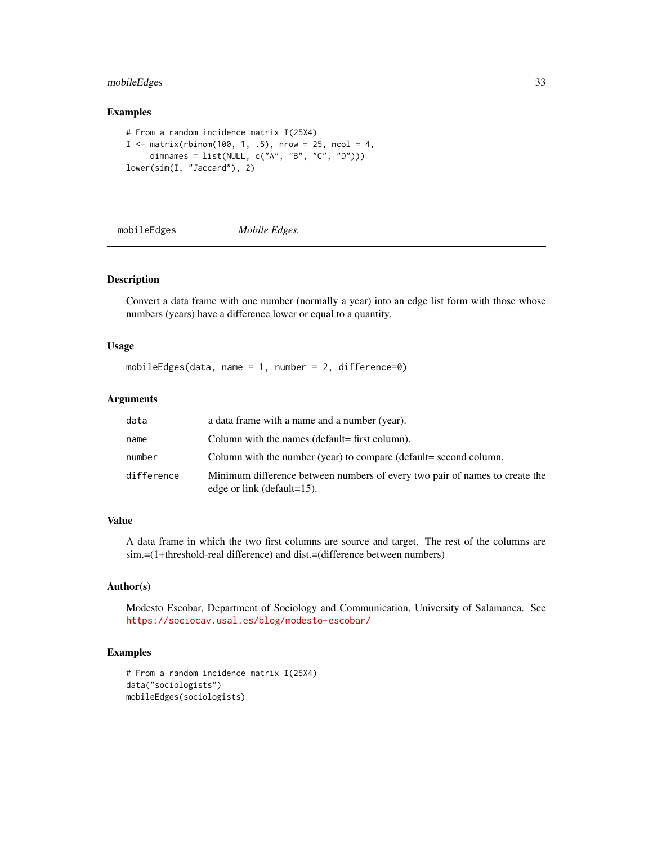# <span id="page-32-0"></span>mobileEdges 33

# Examples

```
# From a random incidence matrix I(25X4)
I \le matrix(rbinom(100, 1, .5), nrow = 25, ncol = 4,
     dimnames = list(NULL, c("A", "B", "C", "D")))
lower(sim(I, "Jaccard"), 2)
```
mobileEdges *Mobile Edges.*

# Description

Convert a data frame with one number (normally a year) into an edge list form with those whose numbers (years) have a difference lower or equal to a quantity.

# Usage

mobileEdges(data, name = 1, number = 2, difference=0)

# Arguments

| data       | a data frame with a name and a number (year).                                                                 |
|------------|---------------------------------------------------------------------------------------------------------------|
| name       | Column with the names (default= first column).                                                                |
| number     | Column with the number (year) to compare (default= second column.                                             |
| difference | Minimum difference between numbers of every two pair of names to create the<br>edge or link (default= $15$ ). |

#### Value

A data frame in which the two first columns are source and target. The rest of the columns are sim.=(1+threshold-real difference) and dist.=(difference between numbers)

# Author(s)

Modesto Escobar, Department of Sociology and Communication, University of Salamanca. See <https://sociocav.usal.es/blog/modesto-escobar/>

```
# From a random incidence matrix I(25X4)
data("sociologists")
mobileEdges(sociologists)
```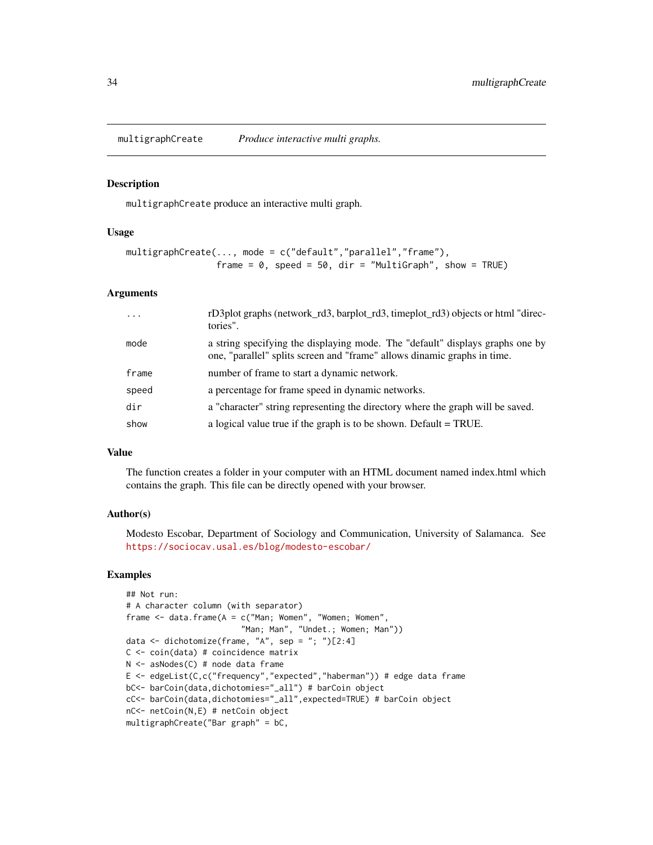<span id="page-33-0"></span>multigraphCreate *Produce interactive multi graphs.*

#### Description

multigraphCreate produce an interactive multi graph.

#### Usage

```
multigraphCreate(..., mode = c("default","parallel","frame"),
                 frame = 0, speed = 50, dir = "MultiGraph", show = TRUE)
```
# Arguments

| $\ddotsc$ | rD3plot graphs (network_rd3, barplot_rd3, timeplot_rd3) objects or html "direc-<br>tories".                                                               |
|-----------|-----------------------------------------------------------------------------------------------------------------------------------------------------------|
| mode      | a string specifying the displaying mode. The "default" displays graphs one by<br>one, "parallel" splits screen and "frame" allows dinamic graphs in time. |
| frame     | number of frame to start a dynamic network.                                                                                                               |
| speed     | a percentage for frame speed in dynamic networks.                                                                                                         |
| dir       | a "character" string representing the directory where the graph will be saved.                                                                            |
| show      | a logical value true if the graph is to be shown. Default $= TRUE$ .                                                                                      |

#### Value

The function creates a folder in your computer with an HTML document named index.html which contains the graph. This file can be directly opened with your browser.

#### Author(s)

Modesto Escobar, Department of Sociology and Communication, University of Salamanca. See <https://sociocav.usal.es/blog/modesto-escobar/>

```
## Not run:
# A character column (with separator)
frame \le data.frame(A = c("Man; Women", "Women; Women","Man; Man", "Undet.; Women; Man"))
data \leq dichotomize(frame, "A", sep = "; ")[2:4]
C <- coin(data) # coincidence matrix
N <- asNodes(C) # node data frame
E <- edgeList(C,c("frequency","expected","haberman")) # edge data frame
bC<- barCoin(data,dichotomies="_all") # barCoin object
cC<- barCoin(data,dichotomies="_all",expected=TRUE) # barCoin object
nC<- netCoin(N,E) # netCoin object
multigraphCreate("Bar graph" = bC,
```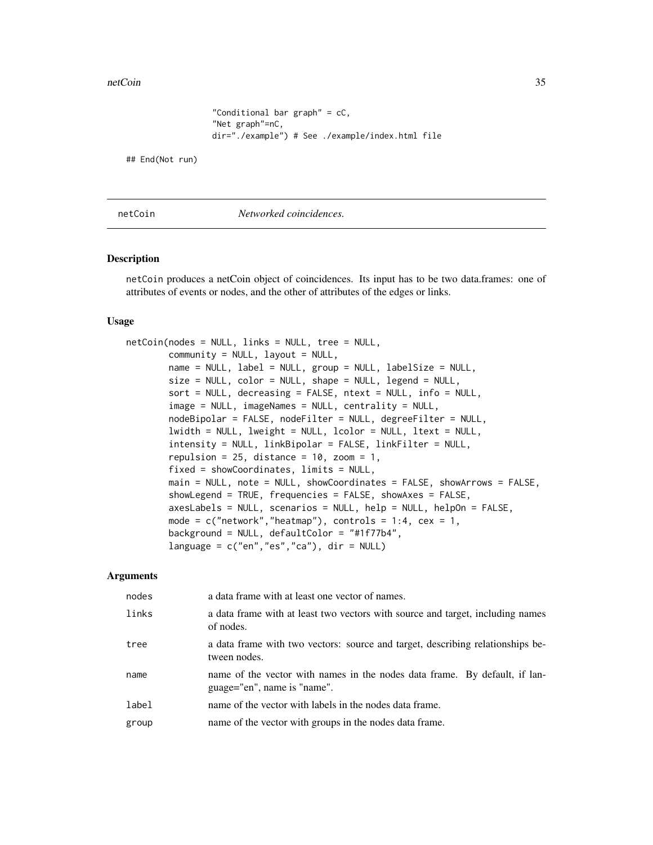```
"Conditional bar graph" = cC,
"Net graph"=nC,
dir="./example") # See ./example/index.html file
```
<span id="page-34-0"></span>## End(Not run)

```
netCoin Networked coincidences.
```
#### Description

netCoin produces a netCoin object of coincidences. Its input has to be two data.frames: one of attributes of events or nodes, and the other of attributes of the edges or links.

#### Usage

```
netCoin(nodes = NULL, links = NULL, tree = NULL,
       community = NULL, layout = NULL,name = NULL, label = NULL, group = NULL, labelSize = NULL,
       size = NULL, color = NULL, shape = NULL, legend = NULL,
       sort = NULL, decreasing = FALSE, ntext = NULL, info = NULL,
        image = NULL, imageNames = NULL, centrality = NULL,
       nodeBipolar = FALSE, nodeFilter = NULL, degreeFilter = NULL,
       lwidth = NULL, lweight = NULL, lcolor = NULL, ltext = NULL,
       intensity = NULL, linkBipolar = FALSE, linkFilter = NULL,
       repulsion = 25, distance = 10, zoom = 1,
       fixed = showCoordinates, limits = NULL,
       main = NULL, note = NULL, showCoordinates = FALSE, showArrows = FALSE,
       showLegend = TRUE, frequencies = FALSE, showAxes = FALSE,
       axesLabels = NULL, scenarios = NULL, help = NULL, helpOn = FALSE,
       mode = c("network", "heatmap"), controls = 1:4, cex = 1,background = NULL, defaultColor = "#1f77b4",
       language = c("en", "es", "ca"), dir = NULL)
```
# Arguments

| nodes | a data frame with at least one vector of names.                                                           |
|-------|-----------------------------------------------------------------------------------------------------------|
| links | a data frame with at least two vectors with source and target, including names<br>of nodes.               |
| tree  | a data frame with two vectors: source and target, describing relationships be-<br>tween nodes.            |
| name  | name of the vector with names in the nodes data frame. By default, if lan-<br>guage="en", name is "name". |
| label | name of the vector with labels in the nodes data frame.                                                   |
| group | name of the vector with groups in the nodes data frame.                                                   |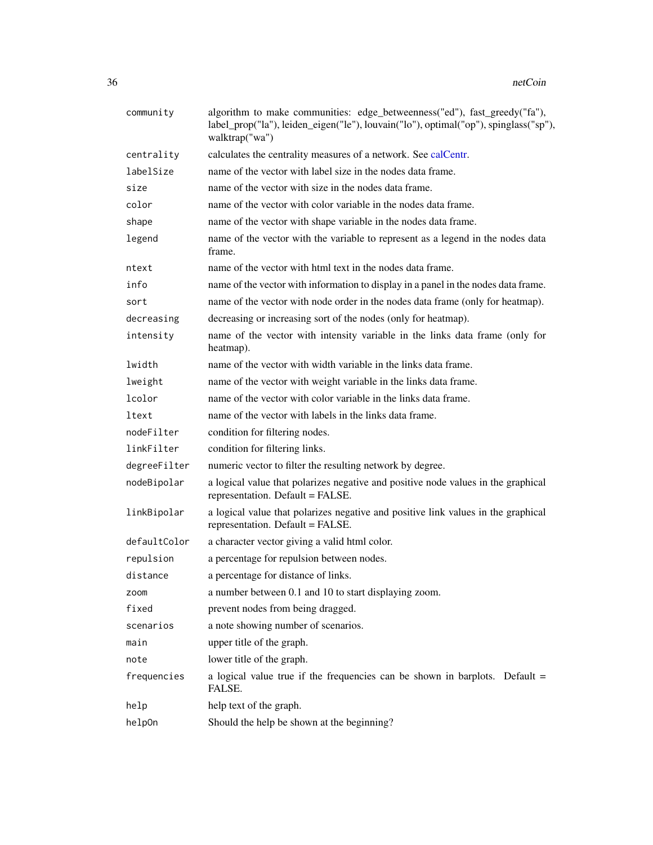<span id="page-35-0"></span>

| community    | algorithm to make communities: edge_betweenness("ed"), fast_greedy("fa"),<br>label_prop("la"), leiden_eigen("le"), louvain("lo"), optimal("op"), spinglass("sp"),<br>walktrap("wa") |
|--------------|-------------------------------------------------------------------------------------------------------------------------------------------------------------------------------------|
| centrality   | calculates the centrality measures of a network. See calCentr.                                                                                                                      |
| labelSize    | name of the vector with label size in the nodes data frame.                                                                                                                         |
| size         | name of the vector with size in the nodes data frame.                                                                                                                               |
| color        | name of the vector with color variable in the nodes data frame.                                                                                                                     |
| shape        | name of the vector with shape variable in the nodes data frame.                                                                                                                     |
| legend       | name of the vector with the variable to represent as a legend in the nodes data<br>frame.                                                                                           |
| ntext        | name of the vector with html text in the nodes data frame.                                                                                                                          |
| info         | name of the vector with information to display in a panel in the nodes data frame.                                                                                                  |
| sort         | name of the vector with node order in the nodes data frame (only for heatmap).                                                                                                      |
| decreasing   | decreasing or increasing sort of the nodes (only for heatmap).                                                                                                                      |
| intensity    | name of the vector with intensity variable in the links data frame (only for<br>heatmap).                                                                                           |
| lwidth       | name of the vector with width variable in the links data frame.                                                                                                                     |
| lweight      | name of the vector with weight variable in the links data frame.                                                                                                                    |
| lcolor       | name of the vector with color variable in the links data frame.                                                                                                                     |
| ltext        | name of the vector with labels in the links data frame.                                                                                                                             |
| nodeFilter   | condition for filtering nodes.                                                                                                                                                      |
| linkFilter   | condition for filtering links.                                                                                                                                                      |
| degreeFilter | numeric vector to filter the resulting network by degree.                                                                                                                           |
| nodeBipolar  | a logical value that polarizes negative and positive node values in the graphical<br>representation. Default = FALSE.                                                               |
| linkBipolar  | a logical value that polarizes negative and positive link values in the graphical<br>representation. Default = FALSE.                                                               |
| defaultColor | a character vector giving a valid html color.                                                                                                                                       |
| repulsion    | a percentage for repulsion between nodes.                                                                                                                                           |
| distance     | a percentage for distance of links.                                                                                                                                                 |
| zoom         | a number between 0.1 and 10 to start displaying zoom.                                                                                                                               |
| fixed        | prevent nodes from being dragged.                                                                                                                                                   |
| scenarios    | a note showing number of scenarios.                                                                                                                                                 |
| main         | upper title of the graph.                                                                                                                                                           |
| note         | lower title of the graph.                                                                                                                                                           |
| frequencies  | a logical value true if the frequencies can be shown in barplots. Default =<br>FALSE.                                                                                               |
| help         | help text of the graph.                                                                                                                                                             |
| help0n       | Should the help be shown at the beginning?                                                                                                                                          |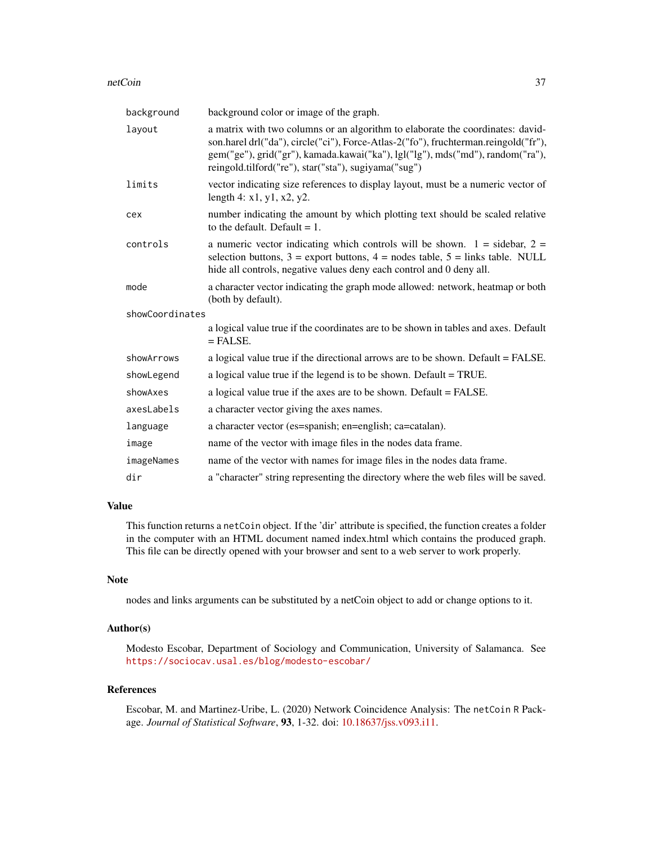#### netCoin 37

| background      | background color or image of the graph.                                                                                                                                                                                                                                                                         |  |
|-----------------|-----------------------------------------------------------------------------------------------------------------------------------------------------------------------------------------------------------------------------------------------------------------------------------------------------------------|--|
| layout          | a matrix with two columns or an algorithm to elaborate the coordinates: david-<br>son.harel drl("da"), circle("ci"), Force-Atlas-2("fo"), fruchterman.reingold("fr"),<br>gem("ge"), grid("gr"), kamada.kawai("ka"), lgl("lg"), mds("md"), random("ra"),<br>reingold.tilford("re"), star("sta"), sugiyama("sug") |  |
| limits          | vector indicating size references to display layout, must be a numeric vector of<br>length 4: $x1, y1, x2, y2$ .                                                                                                                                                                                                |  |
| cex             | number indicating the amount by which plotting text should be scaled relative<br>to the default. Default $= 1$ .                                                                                                                                                                                                |  |
| controls        | a numeric vector indicating which controls will be shown. $1 =$ sidebar, $2 =$<br>selection buttons, $3 =$ export buttons, $4 =$ nodes table, $5 =$ links table. NULL<br>hide all controls, negative values deny each control and 0 deny all.                                                                   |  |
| mode            | a character vector indicating the graph mode allowed: network, heatmap or both<br>(both by default).                                                                                                                                                                                                            |  |
| showCoordinates |                                                                                                                                                                                                                                                                                                                 |  |
|                 | a logical value true if the coordinates are to be shown in tables and axes. Default<br>$=$ FALSE.                                                                                                                                                                                                               |  |
| showArrows      | a logical value true if the directional arrows are to be shown. Default = FALSE.                                                                                                                                                                                                                                |  |
| showLegend      | a logical value true if the legend is to be shown. Default = TRUE.                                                                                                                                                                                                                                              |  |
| showAxes        | a logical value true if the axes are to be shown. Default = FALSE.                                                                                                                                                                                                                                              |  |
| axesLabels      | a character vector giving the axes names.                                                                                                                                                                                                                                                                       |  |
| language        | a character vector (es=spanish; en=english; ca=catalan).                                                                                                                                                                                                                                                        |  |
| image           | name of the vector with image files in the nodes data frame.                                                                                                                                                                                                                                                    |  |
| imageNames      | name of the vector with names for image files in the nodes data frame.                                                                                                                                                                                                                                          |  |
| dir             | a "character" string representing the directory where the web files will be saved.                                                                                                                                                                                                                              |  |

# Value

This function returns a netCoin object. If the 'dir' attribute is specified, the function creates a folder in the computer with an HTML document named index.html which contains the produced graph. This file can be directly opened with your browser and sent to a web server to work properly.

# Note

nodes and links arguments can be substituted by a netCoin object to add or change options to it.

# Author(s)

Modesto Escobar, Department of Sociology and Communication, University of Salamanca. See <https://sociocav.usal.es/blog/modesto-escobar/>

#### References

Escobar, M. and Martinez-Uribe, L. (2020) Network Coincidence Analysis: The netCoin R Package. *Journal of Statistical Software*, 93, 1-32. doi: [10.18637/jss.v093.i11.](https://doi.org/10.18637/jss.v093.i11)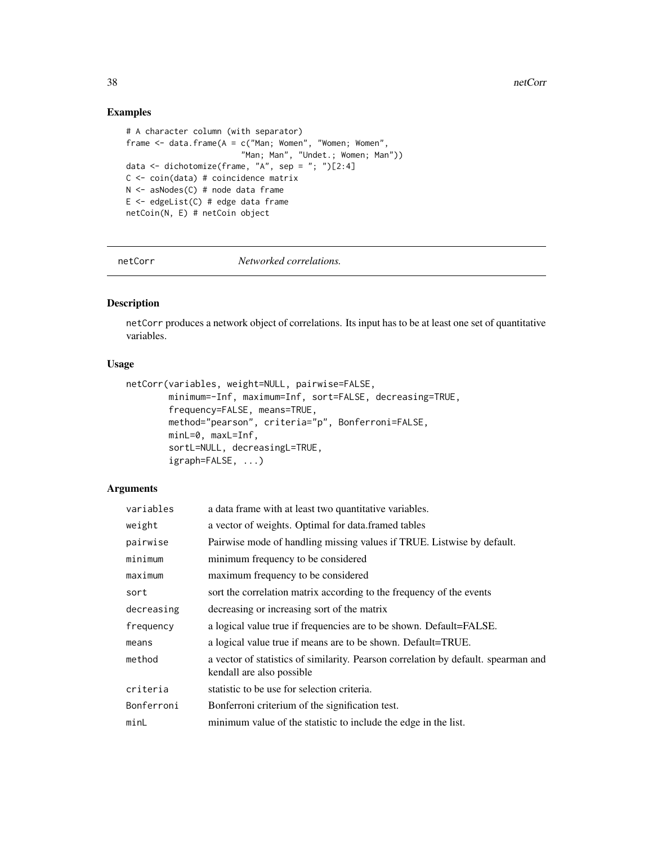# Examples

```
# A character column (with separator)
frame \le data.frame(A = c("Man; Women", "Women; Women",
                        "Man; Man", "Undet.; Women; Man"))
data \leq dichotomize(frame, "A", sep = "; ")[2:4]
C \leq -\coin(\text{data}) # coincidence matrix
N <- asNodes(C) # node data frame
E <- edgeList(C) # edge data frame
netCoin(N, E) # netCoin object
```
netCorr *Networked correlations.*

# Description

netCorr produces a network object of correlations. Its input has to be at least one set of quantitative variables.

# Usage

```
netCorr(variables, weight=NULL, pairwise=FALSE,
        minimum=-Inf, maximum=Inf, sort=FALSE, decreasing=TRUE,
        frequency=FALSE, means=TRUE,
        method="pearson", criteria="p", Bonferroni=FALSE,
        minL=0, maxL=Inf,
        sortL=NULL, decreasingL=TRUE,
        igraph=FALSE, ...)
```
# Arguments

| variables  | a data frame with at least two quantitative variables.                                                          |
|------------|-----------------------------------------------------------------------------------------------------------------|
| weight     | a vector of weights. Optimal for data. framed tables                                                            |
| pairwise   | Pairwise mode of handling missing values if TRUE. Listwise by default.                                          |
| minimum    | minimum frequency to be considered                                                                              |
| maximum    | maximum frequency to be considered                                                                              |
| sort       | sort the correlation matrix according to the frequency of the events                                            |
| decreasing | decreasing or increasing sort of the matrix                                                                     |
| frequency  | a logical value true if frequencies are to be shown. Default=FALSE.                                             |
| means      | a logical value true if means are to be shown. Default=TRUE.                                                    |
| method     | a vector of statistics of similarity. Pearson correlation by default. spearman and<br>kendall are also possible |
| criteria   | statistic to be use for selection criteria.                                                                     |
| Bonferroni | Bonferroni criterium of the signification test.                                                                 |
| minL       | minimum value of the statistic to include the edge in the list.                                                 |

<span id="page-37-0"></span>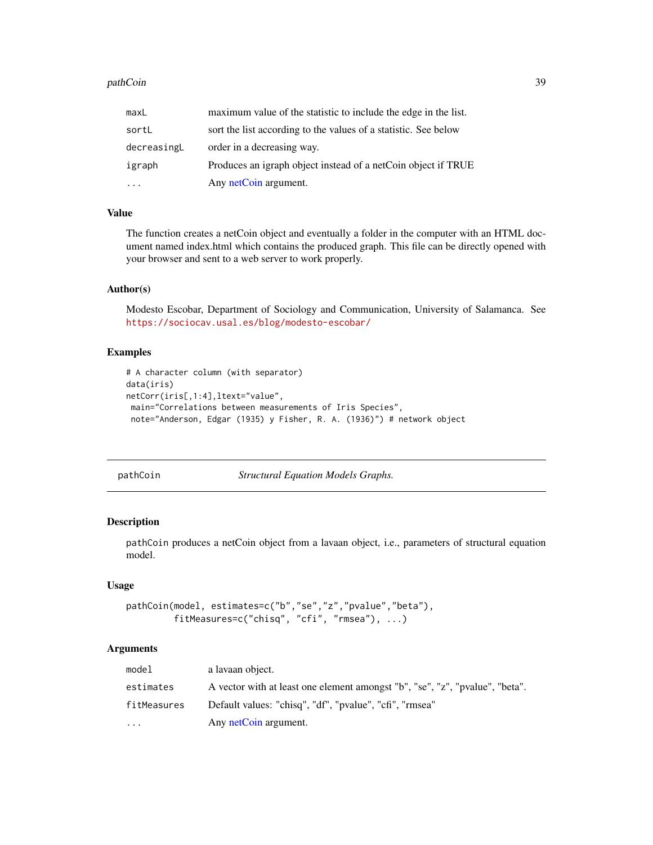#### <span id="page-38-0"></span>pathCoin 39

| maxL        | maximum value of the statistic to include the edge in the list. |
|-------------|-----------------------------------------------------------------|
| sortL       | sort the list according to the values of a statistic. See below |
| decreasingL | order in a decreasing way.                                      |
| igraph      | Produces an igraph object instead of a netCoin object if TRUE   |
|             | Any netCoin argument.                                           |

# Value

The function creates a netCoin object and eventually a folder in the computer with an HTML document named index.html which contains the produced graph. This file can be directly opened with your browser and sent to a web server to work properly.

#### Author(s)

Modesto Escobar, Department of Sociology and Communication, University of Salamanca. See <https://sociocav.usal.es/blog/modesto-escobar/>

# Examples

```
# A character column (with separator)
data(iris)
netCorr(iris[,1:4],ltext="value",
main="Correlations between measurements of Iris Species",
 note="Anderson, Edgar (1935) y Fisher, R. A. (1936)") # network object
```
pathCoin *Structural Equation Models Graphs.*

# Description

pathCoin produces a netCoin object from a lavaan object, i.e., parameters of structural equation model.

#### Usage

```
pathCoin(model, estimates=c("b","se","z","pvalue","beta"),
         fitMeasures=c("chisq", "cfi", "rmsea"), ...)
```
#### Arguments

| model       | a lavaan object.                                                             |
|-------------|------------------------------------------------------------------------------|
| estimates   | A vector with at least one element amongst "b", "se", "z", "pvalue", "beta". |
| fitMeasures | Default values: "chisq", "df", "pvalue", "cfi", "rmsea"                      |
| $\cdots$    | Any netCoin argument.                                                        |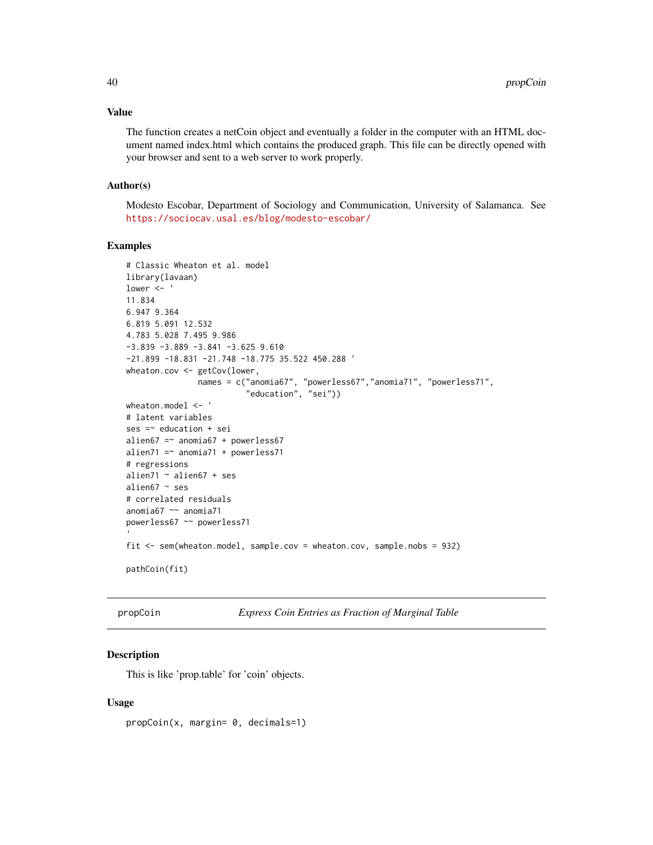#### <span id="page-39-0"></span>Value

The function creates a netCoin object and eventually a folder in the computer with an HTML document named index.html which contains the produced graph. This file can be directly opened with your browser and sent to a web server to work properly.

#### Author(s)

Modesto Escobar, Department of Sociology and Communication, University of Salamanca. See <https://sociocav.usal.es/blog/modesto-escobar/>

# Examples

```
# Classic Wheaton et al. model
library(lavaan)
lower <- '
11.834
6.947 9.364
6.819 5.091 12.532
4.783 5.028 7.495 9.986
-3.839 -3.889 -3.841 -3.625 9.610
-21.899 -18.831 -21.748 -18.775 35.522 450.288 '
wheaton.cov <- getCov(lower,
               names = c("anomia67", "powerless67","anomia71", "powerless71",
                         "education", "sei"))
wheaton.model <- '
# latent variables
ses =~ education + sei
alien67 =\sim anomia67 + powerless67
alien71 =\sim anomia71 + powerless71
# regressions
alien71 ~ alien67 + ses
alien67 ~ ses
# correlated residuals
anomia67 ~~ anomia71
powerless67 ~~ powerless71
fit <- sem(wheaton.model, sample.cov = wheaton.cov, sample.nobs = 932)
pathCoin(fit)
```
propCoin *Express Coin Entries as Fraction of Marginal Table*

# Description

This is like 'prop.table' for 'coin' objects.

#### Usage

propCoin(x, margin= 0, decimals=1)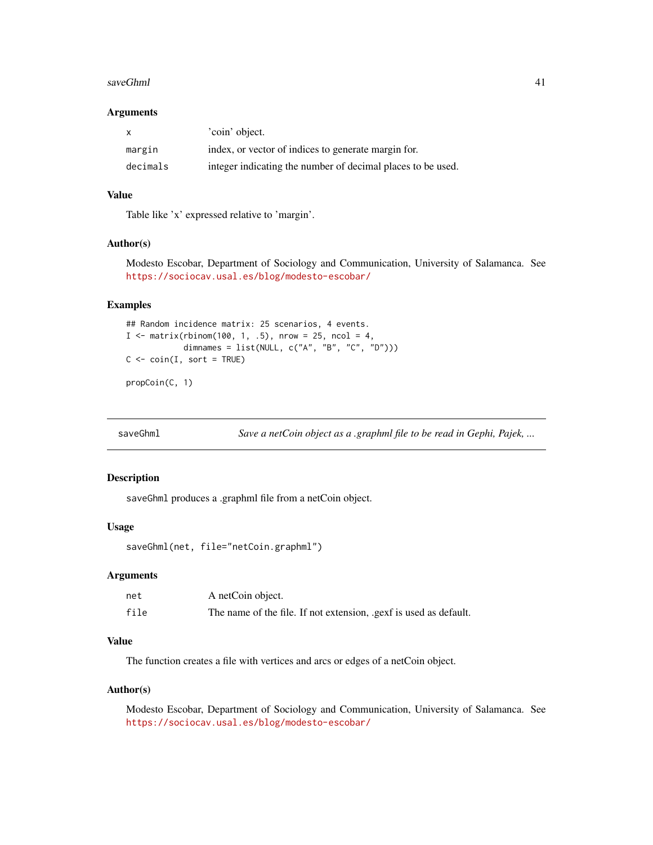#### <span id="page-40-0"></span>saveGhml 41

#### **Arguments**

|          | 'coin' object.                                              |
|----------|-------------------------------------------------------------|
| margin   | index, or vector of indices to generate margin for.         |
| decimals | integer indicating the number of decimal places to be used. |

# Value

Table like 'x' expressed relative to 'margin'.

### Author(s)

Modesto Escobar, Department of Sociology and Communication, University of Salamanca. See <https://sociocav.usal.es/blog/modesto-escobar/>

# Examples

```
## Random incidence matrix: 25 scenarios, 4 events.
I \le matrix(rbinom(100, 1, .5), nrow = 25, ncol = 4,
              dimnames = list(NULL, c("A", "B", "C", "D")))
C \leq -\operatorname{coin}(I, \operatorname{sort} = \text{TRUE})
```
propCoin(C, 1)

saveGhml *Save a netCoin object as a .graphml file to be read in Gephi, Pajek, ...*

#### Description

saveGhml produces a .graphml file from a netCoin object.

# Usage

saveGhml(net, file="netCoin.graphml")

# Arguments

| net  | A netCoin object.                                                |
|------|------------------------------------------------------------------|
| file | The name of the file. If not extension, gexf is used as default. |

# Value

The function creates a file with vertices and arcs or edges of a netCoin object.

#### Author(s)

Modesto Escobar, Department of Sociology and Communication, University of Salamanca. See <https://sociocav.usal.es/blog/modesto-escobar/>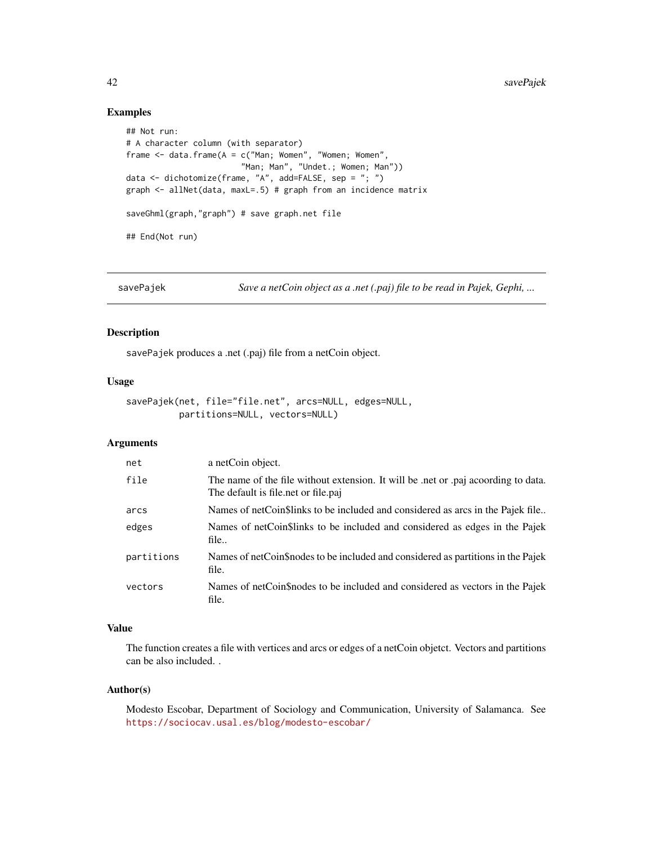# Examples

```
## Not run:
# A character column (with separator)
frame \leq data.frame(A = c("Man; Women", "Women; Women",
                        "Man; Man", "Undet.; Women; Man"))
data <- dichotomize(frame, "A", add=FALSE, sep = "; ")
graph <- allNet(data, maxL=.5) # graph from an incidence matrix
saveGhml(graph,"graph") # save graph.net file
## End(Not run)
```
savePajek *Save a netCoin object as a .net (.paj) file to be read in Pajek, Gephi, ...*

# Description

savePajek produces a .net (.paj) file from a netCoin object.

# Usage

```
savePajek(net, file="file.net", arcs=NULL, edges=NULL,
         partitions=NULL, vectors=NULL)
```
## Arguments

| net        | a netCoin object.                                                                                                       |
|------------|-------------------------------------------------------------------------------------------------------------------------|
| file       | The name of the file without extension. It will be net or paj according to data.<br>The default is file.net or file.paj |
| arcs       | Names of netCoin\$links to be included and considered as arcs in the Pajek file                                         |
| edges      | Names of netCoin\$links to be included and considered as edges in the Pajek<br>file                                     |
| partitions | Names of netCoin\$nodes to be included and considered as partitions in the Pajek<br>file.                               |
| vectors    | Names of netCoin\$nodes to be included and considered as vectors in the Pajek<br>file.                                  |

#### Value

The function creates a file with vertices and arcs or edges of a netCoin objetct. Vectors and partitions can be also included. .

# Author(s)

Modesto Escobar, Department of Sociology and Communication, University of Salamanca. See <https://sociocav.usal.es/blog/modesto-escobar/>

<span id="page-41-0"></span>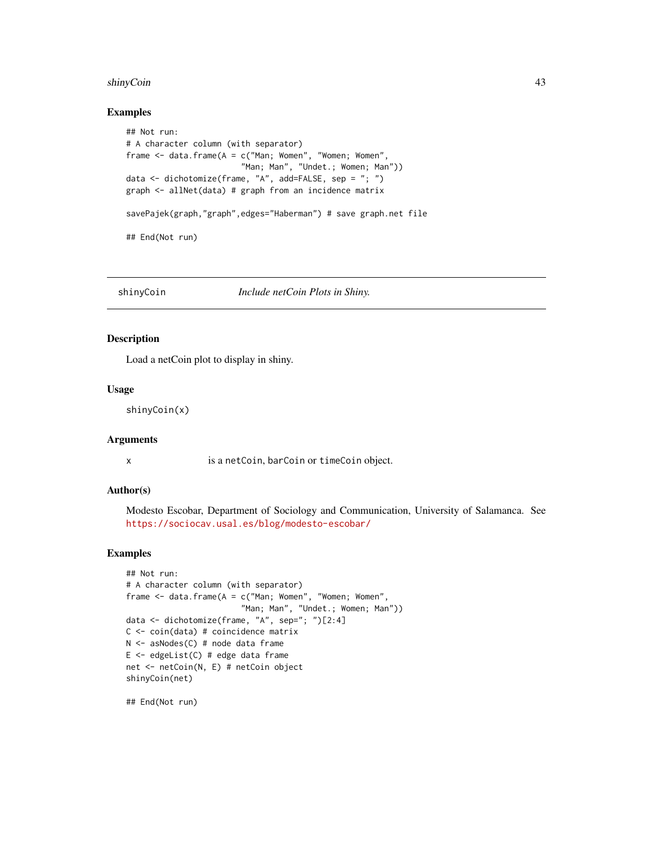#### <span id="page-42-0"></span>shinyCoin **43**

#### Examples

```
## Not run:
# A character column (with separator)
frame <- data.frame(A = c("Man; Women", "Women; Women",
                        "Man; Man", "Undet.; Women; Man"))
data <- dichotomize(frame, "A", add=FALSE, sep = "; ")
graph <- allNet(data) # graph from an incidence matrix
savePajek(graph,"graph",edges="Haberman") # save graph.net file
## End(Not run)
```
shinyCoin *Include netCoin Plots in Shiny.*

# Description

Load a netCoin plot to display in shiny.

#### Usage

shinyCoin(x)

# Arguments

x is a netCoin, barCoin or timeCoin object.

# Author(s)

Modesto Escobar, Department of Sociology and Communication, University of Salamanca. See <https://sociocav.usal.es/blog/modesto-escobar/>

#### Examples

```
## Not run:
# A character column (with separator)
frame \leq data.frame(A = c("Man; Women", "Women; Women",
                        "Man; Man", "Undet.; Women; Man"))
data <- dichotomize(frame, "A", sep="; ")[2:4]
C <- coin(data) # coincidence matrix
N <- asNodes(C) # node data frame
E \leq - edgeList(C) # edge data frame
net <- netCoin(N, E) # netCoin object
shinyCoin(net)
```
## End(Not run)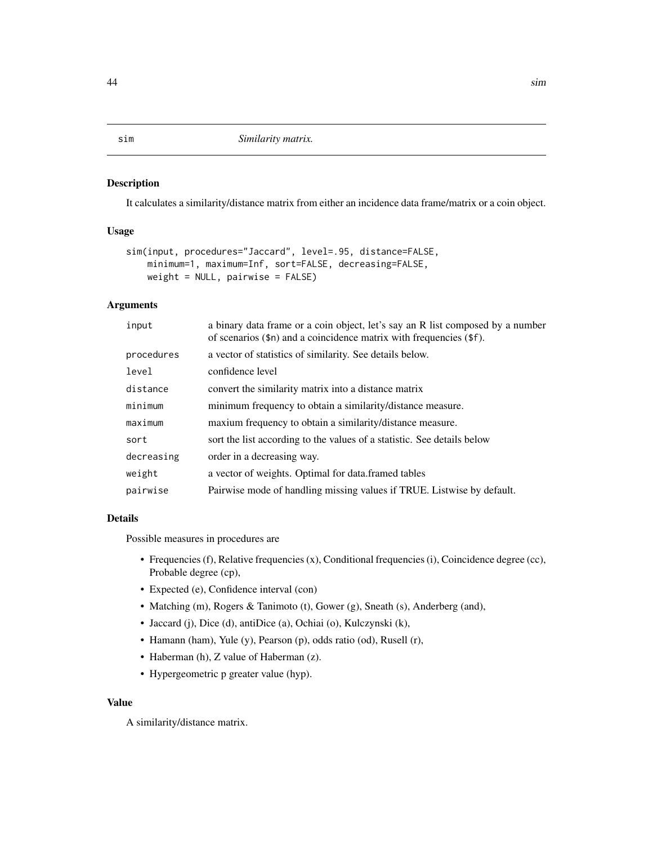It calculates a similarity/distance matrix from either an incidence data frame/matrix or a coin object.

#### Usage

```
sim(input, procedures="Jaccard", level=.95, distance=FALSE,
   minimum=1, maximum=Inf, sort=FALSE, decreasing=FALSE,
   weight = NULL, pairwise = FALSE)
```
# Arguments

| input      | a binary data frame or a coin object, let's say an R list composed by a number<br>of scenarios $(\$n)$ and a coincidence matrix with frequencies $(\$f)$ . |
|------------|------------------------------------------------------------------------------------------------------------------------------------------------------------|
| procedures | a vector of statistics of similarity. See details below.                                                                                                   |
| level      | confidence level                                                                                                                                           |
| distance   | convert the similarity matrix into a distance matrix                                                                                                       |
| minimum    | minimum frequency to obtain a similarity/distance measure.                                                                                                 |
| maximum    | maxium frequency to obtain a similarity/distance measure.                                                                                                  |
| sort       | sort the list according to the values of a statistic. See details below                                                                                    |
| decreasing | order in a decreasing way.                                                                                                                                 |
| weight     | a vector of weights. Optimal for data framed tables                                                                                                        |
| pairwise   | Pairwise mode of handling missing values if TRUE. Listwise by default.                                                                                     |

# Details

Possible measures in procedures are

- Frequencies (f), Relative frequencies (x), Conditional frequencies (i), Coincidence degree (cc), Probable degree (cp),
- Expected (e), Confidence interval (con)
- Matching (m), Rogers & Tanimoto (t), Gower (g), Sneath (s), Anderberg (and),
- Jaccard (j), Dice (d), antiDice (a), Ochiai (o), Kulczynski (k),
- Hamann (ham), Yule (y), Pearson (p), odds ratio (od), Rusell (r),
- Haberman (h), Z value of Haberman (z).
- Hypergeometric p greater value (hyp).

#### Value

A similarity/distance matrix.

# <span id="page-43-1"></span><span id="page-43-0"></span>sim *Similarity matrix.*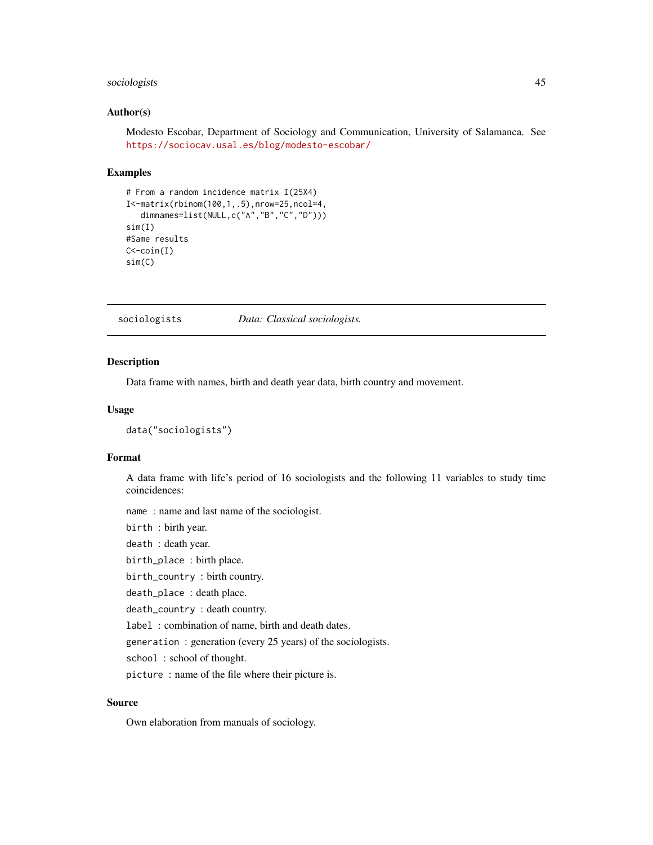# <span id="page-44-0"></span>sociologists 45

### Author(s)

Modesto Escobar, Department of Sociology and Communication, University of Salamanca. See <https://sociocav.usal.es/blog/modesto-escobar/>

#### Examples

```
# From a random incidence matrix I(25X4)
I<-matrix(rbinom(100,1,.5),nrow=25,ncol=4,
   dimnames=list(NULL,c("A","B","C","D")))
sim(I)
#Same results
C < -coin(I)sim(C)
```
sociologists *Data: Classical sociologists.*

#### Description

Data frame with names, birth and death year data, birth country and movement.

#### Usage

```
data("sociologists")
```
# Format

A data frame with life's period of 16 sociologists and the following 11 variables to study time coincidences:

name : name and last name of the sociologist.

birth : birth year.

death : death year.

birth\_place : birth place.

birth\_country : birth country.

death\_place : death place.

death\_country : death country.

label : combination of name, birth and death dates.

generation : generation (every 25 years) of the sociologists.

school: school of thought.

picture : name of the file where their picture is.

# Source

Own elaboration from manuals of sociology.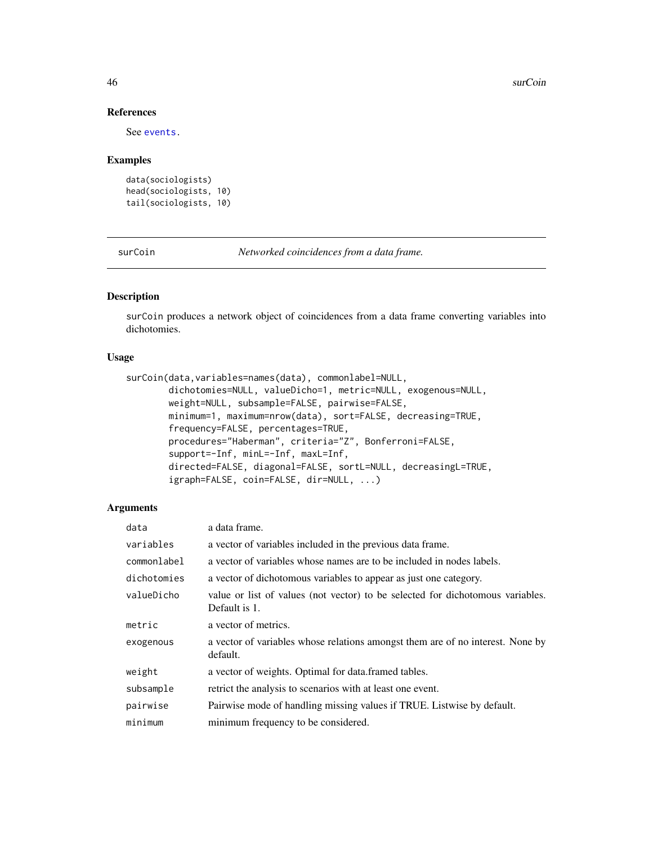# References

See [events.](#page-20-1)

#### Examples

```
data(sociologists)
head(sociologists, 10)
tail(sociologists, 10)
```
surCoin *Networked coincidences from a data frame.*

# Description

surCoin produces a network object of coincidences from a data frame converting variables into dichotomies.

# Usage

```
surCoin(data,variables=names(data), commonlabel=NULL,
       dichotomies=NULL, valueDicho=1, metric=NULL, exogenous=NULL,
       weight=NULL, subsample=FALSE, pairwise=FALSE,
       minimum=1, maximum=nrow(data), sort=FALSE, decreasing=TRUE,
       frequency=FALSE, percentages=TRUE,
       procedures="Haberman", criteria="Z", Bonferroni=FALSE,
       support=-Inf, minL=-Inf, maxL=Inf,
       directed=FALSE, diagonal=FALSE, sortL=NULL, decreasingL=TRUE,
       igraph=FALSE, coin=FALSE, dir=NULL, ...)
```
# Arguments

| data        | a data frame.                                                                                   |
|-------------|-------------------------------------------------------------------------------------------------|
| variables   | a vector of variables included in the previous data frame.                                      |
| commonlabel | a vector of variables whose names are to be included in nodes labels.                           |
| dichotomies | a vector of dichotomous variables to appear as just one category.                               |
| valueDicho  | value or list of values (not vector) to be selected for dichotomous variables.<br>Default is 1. |
| metric      | a vector of metrics.                                                                            |
| exogenous   | a vector of variables whose relations amongst them are of no interest. None by<br>default.      |
| weight      | a vector of weights. Optimal for data.framed tables.                                            |
| subsample   | retrict the analysis to scenarios with at least one event.                                      |
| pairwise    | Pairwise mode of handling missing values if TRUE. Listwise by default.                          |
| minimum     | minimum frequency to be considered.                                                             |

<span id="page-45-0"></span>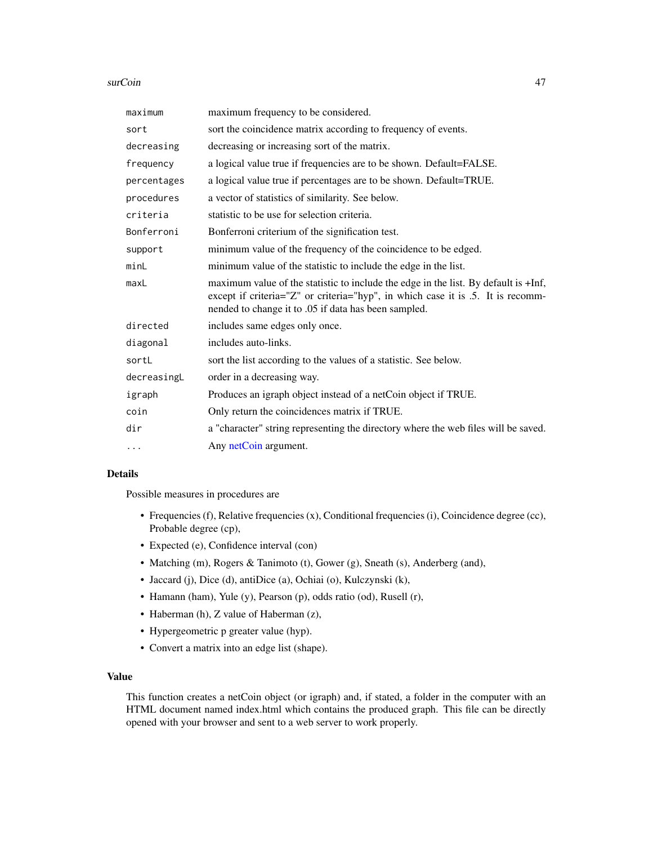#### <span id="page-46-0"></span>surCoin **47**

| maximum     | maximum frequency to be considered.                                                                                                                                                                                            |
|-------------|--------------------------------------------------------------------------------------------------------------------------------------------------------------------------------------------------------------------------------|
| sort        | sort the coincidence matrix according to frequency of events.                                                                                                                                                                  |
| decreasing  | decreasing or increasing sort of the matrix.                                                                                                                                                                                   |
| frequency   | a logical value true if frequencies are to be shown. Default=FALSE.                                                                                                                                                            |
| percentages | a logical value true if percentages are to be shown. Default=TRUE.                                                                                                                                                             |
| procedures  | a vector of statistics of similarity. See below.                                                                                                                                                                               |
| criteria    | statistic to be use for selection criteria.                                                                                                                                                                                    |
| Bonferroni  | Bonferroni criterium of the signification test.                                                                                                                                                                                |
| support     | minimum value of the frequency of the coincidence to be edged.                                                                                                                                                                 |
| minL        | minimum value of the statistic to include the edge in the list.                                                                                                                                                                |
| maxL        | maximum value of the statistic to include the edge in the list. By default is +Inf,<br>except if criteria="Z" or criteria="hyp", in which case it is .5. It is recomm-<br>nended to change it to .05 if data has been sampled. |
| directed    | includes same edges only once.                                                                                                                                                                                                 |
| diagonal    | includes auto-links.                                                                                                                                                                                                           |
| sortL       | sort the list according to the values of a statistic. See below.                                                                                                                                                               |
| decreasingL | order in a decreasing way.                                                                                                                                                                                                     |
| igraph      | Produces an igraph object instead of a netCoin object if TRUE.                                                                                                                                                                 |
| coin        | Only return the coincidences matrix if TRUE.                                                                                                                                                                                   |
| dir         | a "character" string representing the directory where the web files will be saved.                                                                                                                                             |
| $\cdots$    | Any netCoin argument.                                                                                                                                                                                                          |

# Details

Possible measures in procedures are

- Frequencies (f), Relative frequencies (x), Conditional frequencies (i), Coincidence degree (cc), Probable degree (cp),
- Expected (e), Confidence interval (con)
- Matching (m), Rogers & Tanimoto (t), Gower (g), Sneath (s), Anderberg (and),
- Jaccard (j), Dice (d), antiDice (a), Ochiai (o), Kulczynski (k),
- Hamann (ham), Yule (y), Pearson (p), odds ratio (od), Rusell (r),
- Haberman (h), Z value of Haberman (z),
- Hypergeometric p greater value (hyp).
- Convert a matrix into an edge list (shape).

# Value

This function creates a netCoin object (or igraph) and, if stated, a folder in the computer with an HTML document named index.html which contains the produced graph. This file can be directly opened with your browser and sent to a web server to work properly.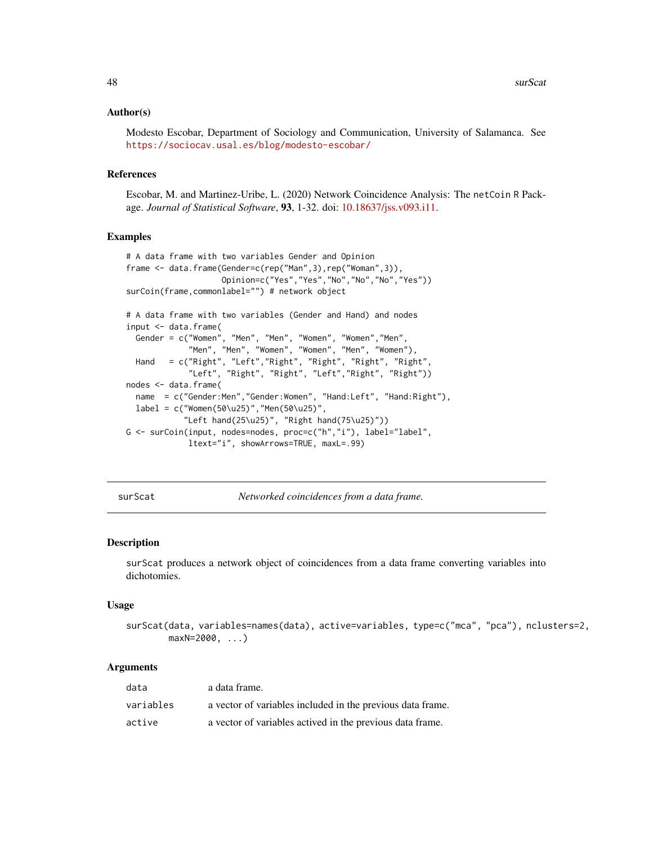### <span id="page-47-0"></span>Author(s)

Modesto Escobar, Department of Sociology and Communication, University of Salamanca. See <https://sociocav.usal.es/blog/modesto-escobar/>

#### References

Escobar, M. and Martinez-Uribe, L. (2020) Network Coincidence Analysis: The netCoin R Package. *Journal of Statistical Software*, 93, 1-32. doi: [10.18637/jss.v093.i11.](https://doi.org/10.18637/jss.v093.i11)

#### Examples

```
# A data frame with two variables Gender and Opinion
frame <- data.frame(Gender=c(rep("Man",3),rep("Woman",3)),
                   Opinion=c("Yes","Yes","No","No","No","Yes"))
surCoin(frame,commonlabel="") # network object
# A data frame with two variables (Gender and Hand) and nodes
input <- data.frame(
  Gender = c("Women", "Men", "Men", "Women", "Women","Men",
             "Men", "Men", "Women", "Women", "Men", "Women"),
 Hand = c("Right", "Left","Right", "Right", "Right", "Right",
             "Left", "Right", "Right", "Left","Right", "Right"))
nodes <- data.frame(
 name = c("Gender:Men","Gender:Women", "Hand:Left", "Hand:Right"),
 label = c("Women(50\u25)", "Men(50\u25)",
            "Left hand(25\u25)", "Right hand(75\u25)"))
G <- surCoin(input, nodes=nodes, proc=c("h","i"), label="label",
             ltext="i", showArrows=TRUE, maxL=.99)
```
surScat *Networked coincidences from a data frame.*

#### Description

surScat produces a network object of coincidences from a data frame converting variables into dichotomies.

#### Usage

```
surScat(data, variables=names(data), active=variables, type=c("mca", "pca"), nclusters=2,
        maxN=2000, ...)
```
#### Arguments

| data      | a data frame.                                              |
|-----------|------------------------------------------------------------|
| variables | a vector of variables included in the previous data frame. |
| active    | a vector of variables actived in the previous data frame.  |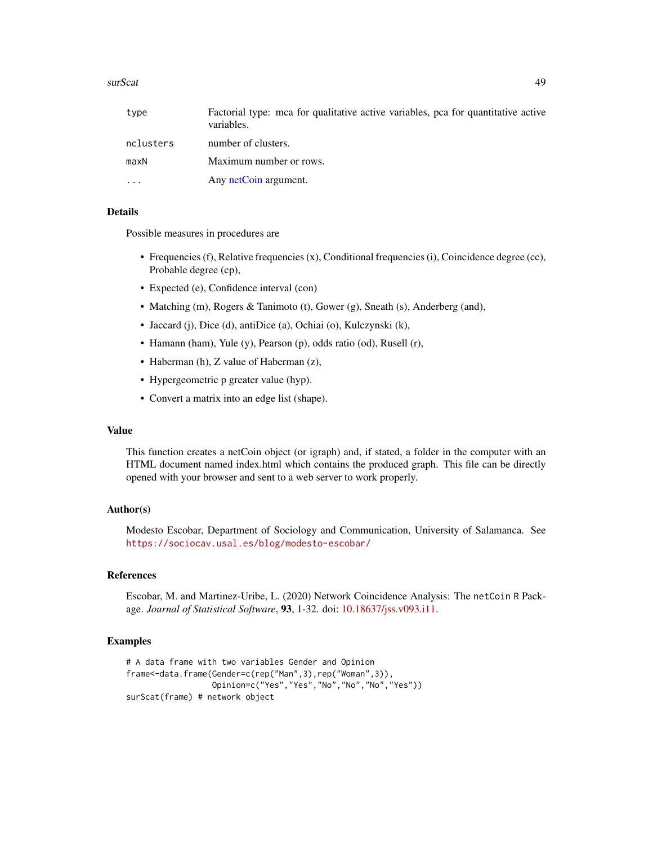#### <span id="page-48-0"></span>surScat 2008 and 2008 and 2008 and 2008 and 2008 and 2008 and 2008 and 2008 and 2008 and 2008 and 2008 and 200

| type      | Factorial type: mea for qualitative active variables, pea for quantitative active<br>variables. |
|-----------|-------------------------------------------------------------------------------------------------|
| nclusters | number of clusters.                                                                             |
| maxN      | Maximum number or rows.                                                                         |
| .         | Any netCoin argument.                                                                           |

# Details

Possible measures in procedures are

- Frequencies (f), Relative frequencies (x), Conditional frequencies (i), Coincidence degree (cc), Probable degree (cp),
- Expected (e), Confidence interval (con)
- Matching (m), Rogers & Tanimoto (t), Gower (g), Sneath (s), Anderberg (and),
- Jaccard (j), Dice (d), antiDice (a), Ochiai (o), Kulczynski (k),
- Hamann (ham), Yule (y), Pearson (p), odds ratio (od), Rusell (r),
- Haberman (h), Z value of Haberman (z),
- Hypergeometric p greater value (hyp).
- Convert a matrix into an edge list (shape).

#### Value

This function creates a netCoin object (or igraph) and, if stated, a folder in the computer with an HTML document named index.html which contains the produced graph. This file can be directly opened with your browser and sent to a web server to work properly.

# Author(s)

Modesto Escobar, Department of Sociology and Communication, University of Salamanca. See <https://sociocav.usal.es/blog/modesto-escobar/>

# References

Escobar, M. and Martinez-Uribe, L. (2020) Network Coincidence Analysis: The netCoin R Package. *Journal of Statistical Software*, 93, 1-32. doi: [10.18637/jss.v093.i11.](https://doi.org/10.18637/jss.v093.i11)

```
# A data frame with two variables Gender and Opinion
frame<-data.frame(Gender=c(rep("Man",3),rep("Woman",3)),
                 Opinion=c("Yes","Yes","No","No","No","Yes"))
surScat(frame) # network object
```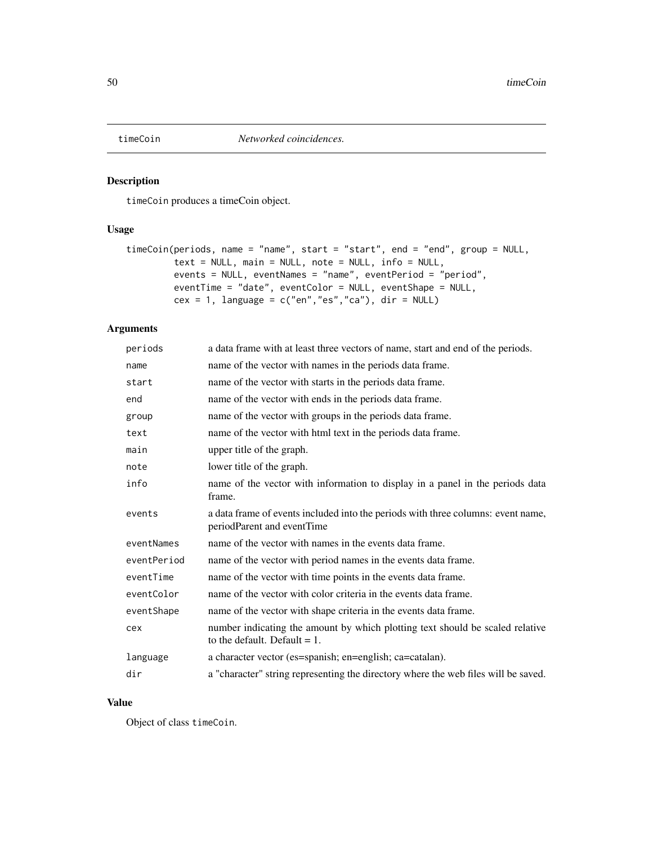<span id="page-49-1"></span><span id="page-49-0"></span>

timeCoin produces a timeCoin object.

# Usage

```
timeCoin(periods, name = "name", start = "start", end = "end", group = NULL,
        text = NULL, main = NULL, note = NULL, info = NULL,
        events = NULL, eventNames = "name", eventPeriod = "period",
        eventTime = "date", eventColor = NULL, eventShape = NULL,
        cex = 1, language = c("en", "es", "ca"), dir = NULL)
```
# Arguments

| periods     | a data frame with at least three vectors of name, start and end of the periods.                                  |
|-------------|------------------------------------------------------------------------------------------------------------------|
| name        | name of the vector with names in the periods data frame.                                                         |
| start       | name of the vector with starts in the periods data frame.                                                        |
| end         | name of the vector with ends in the periods data frame.                                                          |
| group       | name of the vector with groups in the periods data frame.                                                        |
| text        | name of the vector with html text in the periods data frame.                                                     |
| main        | upper title of the graph.                                                                                        |
| note        | lower title of the graph.                                                                                        |
| info        | name of the vector with information to display in a panel in the periods data<br>frame.                          |
| events      | a data frame of events included into the periods with three columns: event name,<br>periodParent and eventTime   |
| eventNames  | name of the vector with names in the events data frame.                                                          |
| eventPeriod | name of the vector with period names in the events data frame.                                                   |
| eventTime   | name of the vector with time points in the events data frame.                                                    |
| eventColor  | name of the vector with color criteria in the events data frame.                                                 |
| eventShape  | name of the vector with shape criteria in the events data frame.                                                 |
| cex         | number indicating the amount by which plotting text should be scaled relative<br>to the default. Default $= 1$ . |
| language    | a character vector (es=spanish; en=english; ca=catalan).                                                         |
| dir         | a "character" string representing the directory where the web files will be saved.                               |

# Value

Object of class timeCoin.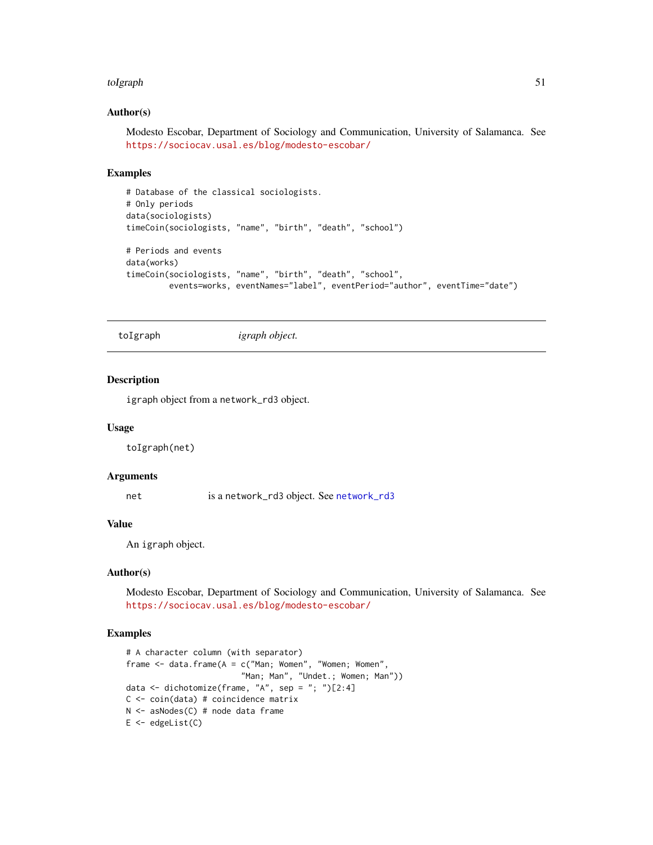#### <span id="page-50-0"></span>toIgraph 51

# Author(s)

Modesto Escobar, Department of Sociology and Communication, University of Salamanca. See <https://sociocav.usal.es/blog/modesto-escobar/>

# Examples

```
# Database of the classical sociologists.
# Only periods
data(sociologists)
timeCoin(sociologists, "name", "birth", "death", "school")
# Periods and events
data(works)
timeCoin(sociologists, "name", "birth", "death", "school",
         events=works, eventNames="label", eventPeriod="author", eventTime="date")
```
toIgraph *igraph object.*

#### Description

igraph object from a network\_rd3 object.

#### Usage

toIgraph(net)

# Arguments

net is a [network\\_rd3](#page-0-0) object. See network\_rd3

#### Value

An igraph object.

# Author(s)

Modesto Escobar, Department of Sociology and Communication, University of Salamanca. See <https://sociocav.usal.es/blog/modesto-escobar/>

```
# A character column (with separator)
frame \le data.frame(A = c("Man; Women", "Women; Women",
                        "Man; Man", "Undet.; Women; Man"))
data <- dichotomize(frame, "A", sep = "; ")[2:4]
C <- coin(data) # coincidence matrix
N <- asNodes(C) # node data frame
E <- edgeList(C)
```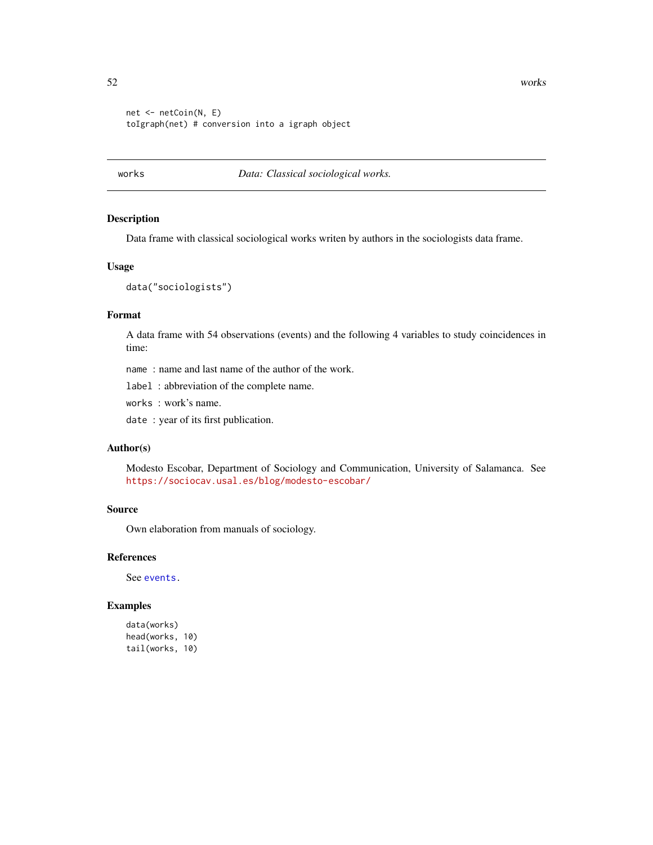52 works

```
net <- netCoin(N, E)
toIgraph(net) # conversion into a igraph object
```
# works *Data: Classical sociological works.*

# Description

Data frame with classical sociological works writen by authors in the sociologists data frame.

#### Usage

data("sociologists")

#### Format

A data frame with 54 observations (events) and the following 4 variables to study coincidences in time:

name : name and last name of the author of the work.

label : abbreviation of the complete name.

works : work's name.

date : year of its first publication.

# Author(s)

Modesto Escobar, Department of Sociology and Communication, University of Salamanca. See <https://sociocav.usal.es/blog/modesto-escobar/>

# Source

Own elaboration from manuals of sociology.

#### References

See [events.](#page-20-1)

# Examples

data(works) head(works, 10) tail(works, 10)

<span id="page-51-0"></span>